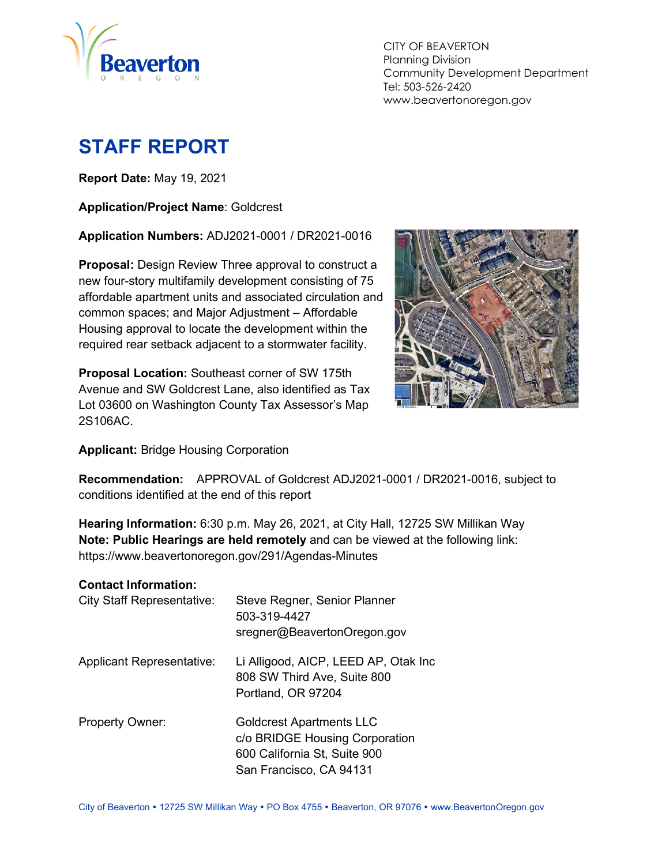

CITY OF BEAVERTON Planning Division Community Development Department Tel: 503-526-2420 www.beavertonoregon.gov

# <span id="page-0-0"></span>**STAFF REPORT**

**Report Date:** May 19, 2021

**Application/Project Name**: Goldcrest

**Application Numbers:** ADJ2021-0001 / DR2021-0016

**Proposal:** Design Review Three approval to construct a new four-story multifamily development consisting of 75 affordable apartment units and associated circulation and common spaces; and Major Adjustment – Affordable Housing approval to locate the development within the required rear setback adjacent to a stormwater facility.

**Proposal Location:** Southeast corner of SW 175th Avenue and SW Goldcrest Lane, also identified as Tax Lot 03600 on Washington County Tax Assessor's Map 2S106AC.



**Applicant:** Bridge Housing Corporation

**Recommendation:** APPROVAL of Goldcrest ADJ2021-0001 / DR2021-0016, subject to conditions identified at the end of this report

**Hearing Information:** 6:30 p.m. May 26, 2021, at City Hall, 12725 SW Millikan Way **Note: Public Hearings are held remotely** and can be viewed at the following link: https://www.beavertonoregon.gov/291/Agendas-Minutes

#### **Contact Information:**

| <b>City Staff Representative:</b> | Steve Regner, Senior Planner<br>503-319-4427<br>sregner@BeavertonOregon.gov                                                  |
|-----------------------------------|------------------------------------------------------------------------------------------------------------------------------|
| <b>Applicant Representative:</b>  | Li Alligood, AICP, LEED AP, Otak Inc<br>808 SW Third Ave, Suite 800<br>Portland, OR 97204                                    |
| <b>Property Owner:</b>            | <b>Goldcrest Apartments LLC</b><br>c/o BRIDGE Housing Corporation<br>600 California St, Suite 900<br>San Francisco, CA 94131 |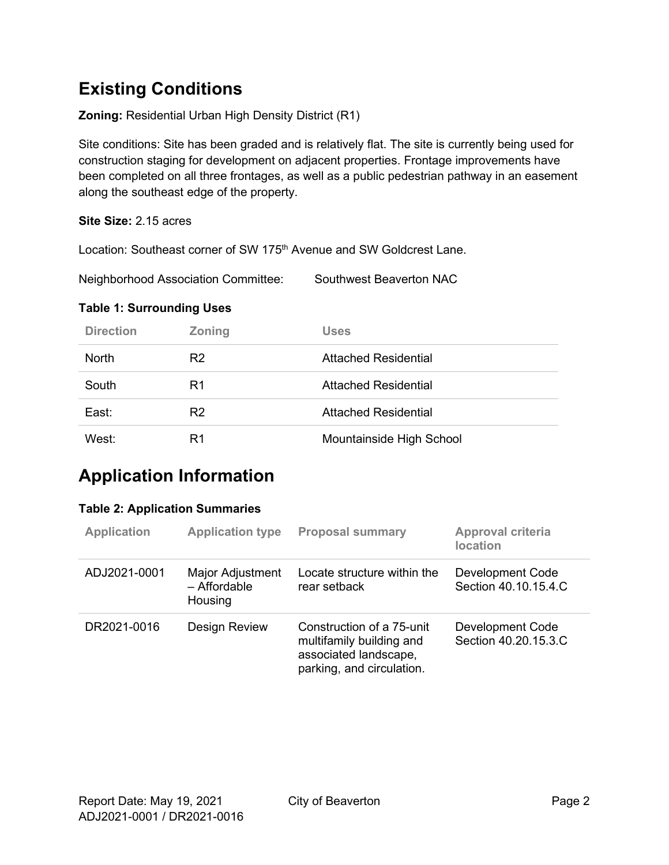# **Existing Conditions**

**Zoning:** Residential Urban High Density District (R1)

Site conditions: Site has been graded and is relatively flat. The site is currently being used for construction staging for development on adjacent properties. Frontage improvements have been completed on all three frontages, as well as a public pedestrian pathway in an easement along the southeast edge of the property.

#### **Site Size:** 2.15 acres

Location: Southeast corner of SW 175<sup>th</sup> Avenue and SW Goldcrest Lane.

Neighborhood Association Committee: Southwest Beaverton NAC

#### **Table 1: Surrounding Uses**

| <b>Direction</b> | <b>Zoning</b>  | <b>Uses</b>                 |
|------------------|----------------|-----------------------------|
| <b>North</b>     | R <sub>2</sub> | <b>Attached Residential</b> |
| South            | R1             | <b>Attached Residential</b> |
| East:            | R <sub>2</sub> | <b>Attached Residential</b> |
| West:            | R1             | Mountainside High School    |

## **Application Information**

#### **Table 2: Application Summaries**

| <b>Application</b> | <b>Application type</b>                     | <b>Proposal summary</b>                                                                                     | Approval criteria<br><b>location</b>            |
|--------------------|---------------------------------------------|-------------------------------------------------------------------------------------------------------------|-------------------------------------------------|
| ADJ2021-0001       | Major Adjustment<br>- Affordable<br>Housing | Locate structure within the<br>rear setback                                                                 | Development Code<br>Section 40.10.15.4.C        |
| DR2021-0016        | <b>Design Review</b>                        | Construction of a 75-unit<br>multifamily building and<br>associated landscape,<br>parking, and circulation. | <b>Development Code</b><br>Section 40.20.15.3.C |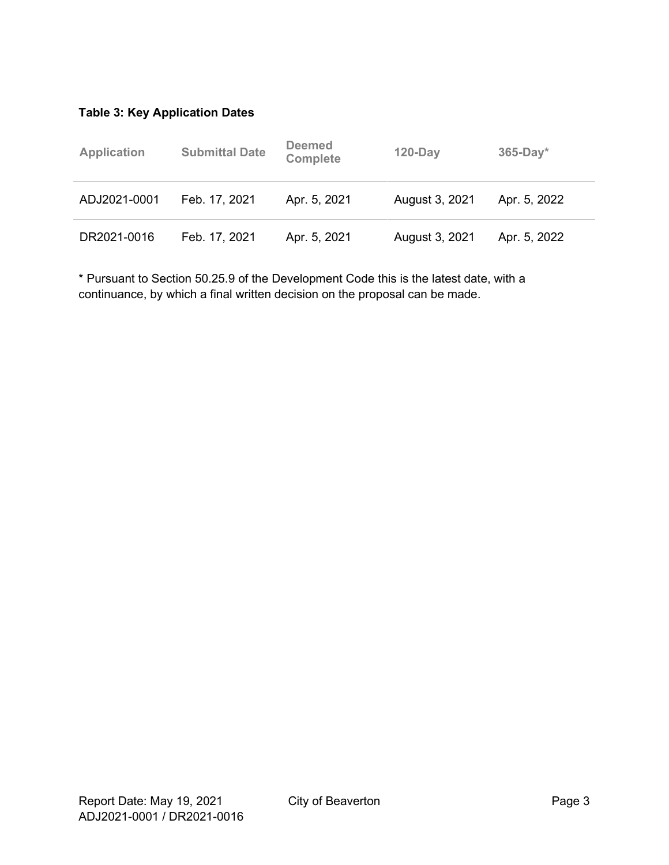### **Table 3: Key Application Dates**

| <b>Application</b> | <b>Submittal Date</b> | <b>Deemed</b><br><b>Complete</b> | $120$ -Day     | $365-Day*$   |
|--------------------|-----------------------|----------------------------------|----------------|--------------|
| ADJ2021-0001       | Feb. 17, 2021         | Apr. 5, 2021                     | August 3, 2021 | Apr. 5, 2022 |
| DR2021-0016        | Feb. 17, 2021         | Apr. 5, 2021                     | August 3, 2021 | Apr. 5, 2022 |

\* Pursuant to Section 50.25.9 of the Development Code this is the latest date, with a continuance, by which a final written decision on the proposal can be made.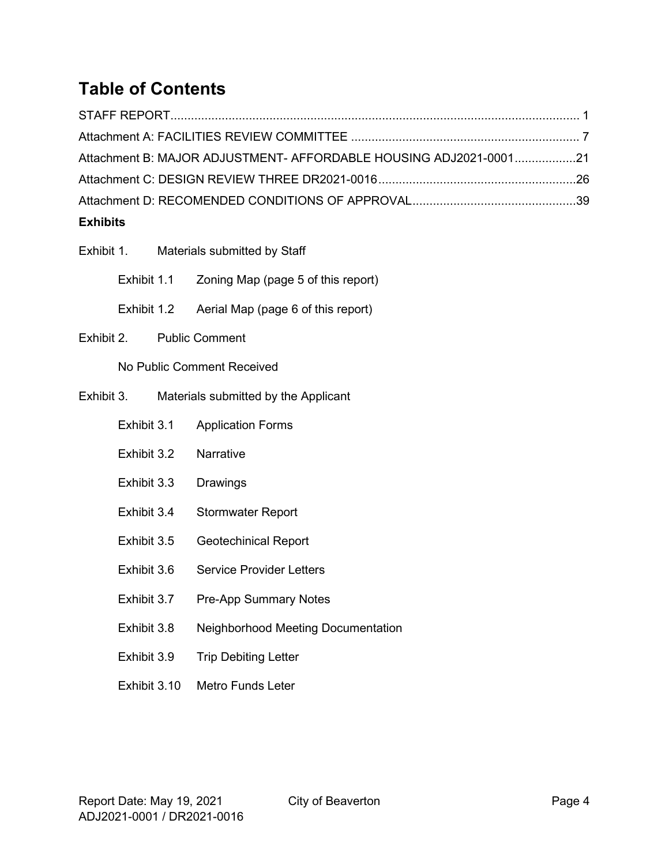# **Table of Contents**

| <b>Exhibits</b>                                                   |  |
|-------------------------------------------------------------------|--|
|                                                                   |  |
|                                                                   |  |
| Attachment B: MAJOR ADJUSTMENT- AFFORDABLE HOUSING ADJ2021-000121 |  |
|                                                                   |  |
|                                                                   |  |

# Exhibit 1. Materials submitted by Staff Exhibit 1.1 Zoning Map (page 5 of this report) Exhibit 1.2 Aerial Map (page 6 of this report) Exhibit 2. Public Comment No Public Comment Received Exhibit 3. Materials submitted by the Applicant Exhibit 3.1 Application Forms Exhibit 3.2 Narrative Exhibit 3.3 Drawings Exhibit 3.4 Stormwater Report Exhibit 3.5 Geotechinical Report Exhibit 3.6 Service Provider Letters Exhibit 3.7 Pre-App Summary Notes Exhibit 3.8 Neighborhood Meeting Documentation Exhibit 3.9 Trip Debiting Letter

Exhibit 3.10 Metro Funds Leter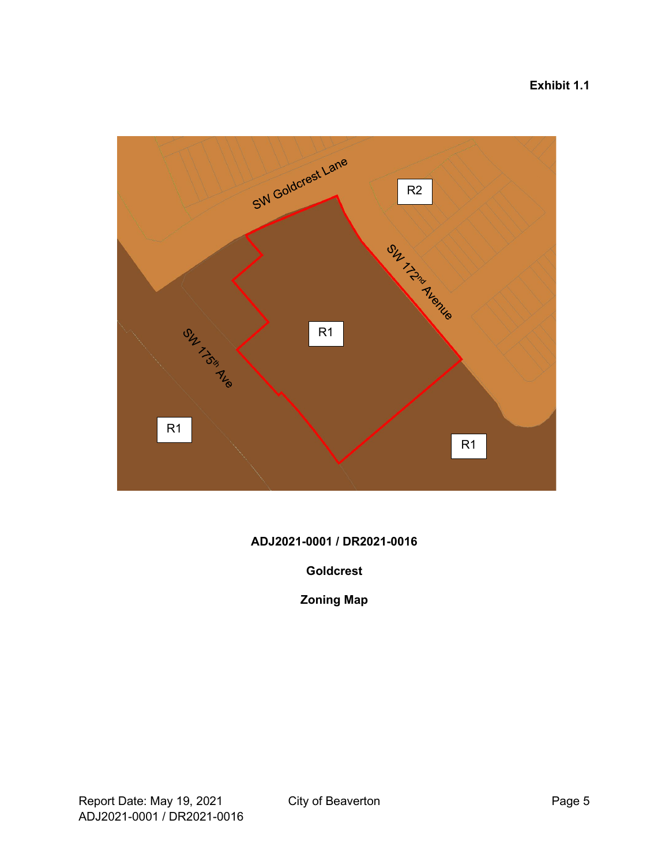### **Exhibit 1.1**



#### **ADJ2021-0001 / DR2021-0016**

#### **Goldcrest**

### **Zoning Map**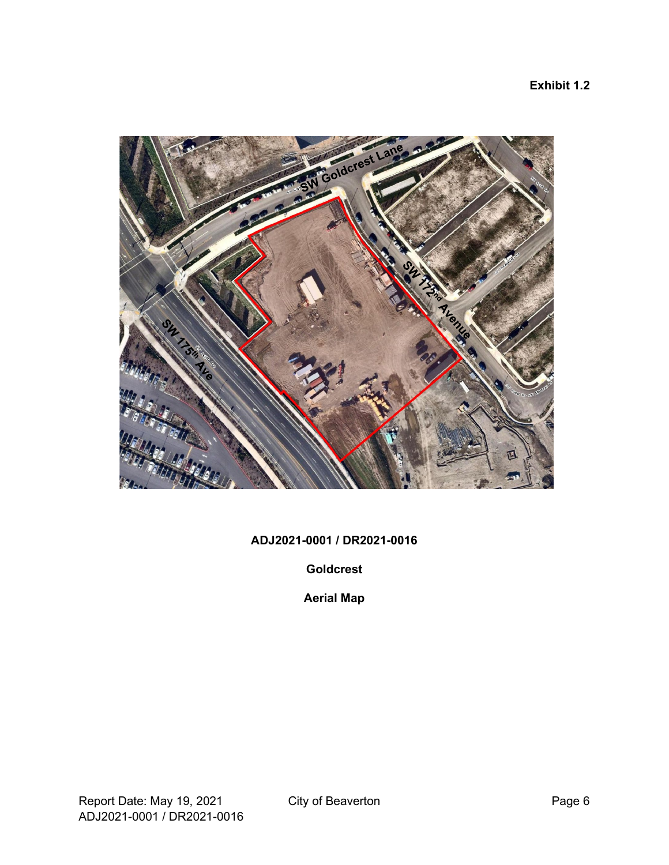

### **ADJ2021-0001 / DR2021-0016**

**Goldcrest**

**Aerial Map**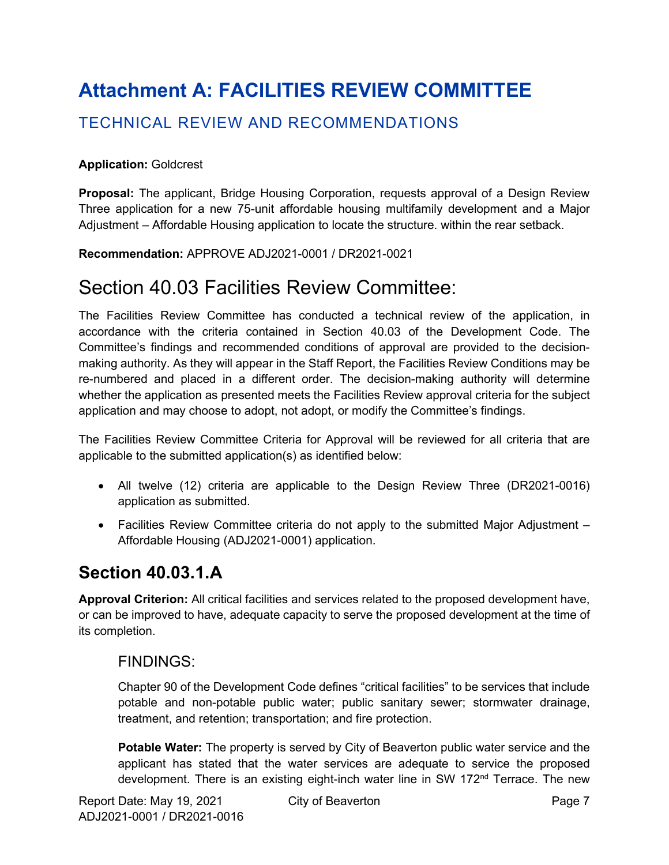# <span id="page-6-0"></span>**Attachment A: FACILITIES REVIEW COMMITTEE**

## TECHNICAL REVIEW AND RECOMMENDATIONS

#### **Application:** Goldcrest

**Proposal:** The applicant, Bridge Housing Corporation, requests approval of a Design Review Three application for a new 75-unit affordable housing multifamily development and a Major Adjustment – Affordable Housing application to locate the structure. within the rear setback.

**Recommendation:** APPROVE ADJ2021-0001 / DR2021-0021

## Section 40.03 Facilities Review Committee:

The Facilities Review Committee has conducted a technical review of the application, in accordance with the criteria contained in Section 40.03 of the Development Code. The Committee's findings and recommended conditions of approval are provided to the decisionmaking authority. As they will appear in the Staff Report, the Facilities Review Conditions may be re-numbered and placed in a different order. The decision-making authority will determine whether the application as presented meets the Facilities Review approval criteria for the subject application and may choose to adopt, not adopt, or modify the Committee's findings.

The Facilities Review Committee Criteria for Approval will be reviewed for all criteria that are applicable to the submitted application(s) as identified below:

- All twelve (12) criteria are applicable to the Design Review Three (DR2021-0016) application as submitted.
- Facilities Review Committee criteria do not apply to the submitted Major Adjustment Affordable Housing (ADJ2021-0001) application.

## **Section 40.03.1.A**

**Approval Criterion:** All critical facilities and services related to the proposed development have, or can be improved to have, adequate capacity to serve the proposed development at the time of its completion.

### FINDINGS:

Chapter 90 of the Development Code defines "critical facilities" to be services that include potable and non-potable public water; public sanitary sewer; stormwater drainage, treatment, and retention; transportation; and fire protection.

**Potable Water:** The property is served by City of Beaverton public water service and the applicant has stated that the water services are adequate to service the proposed development. There is an existing eight-inch water line in SW 172<sup>nd</sup> Terrace. The new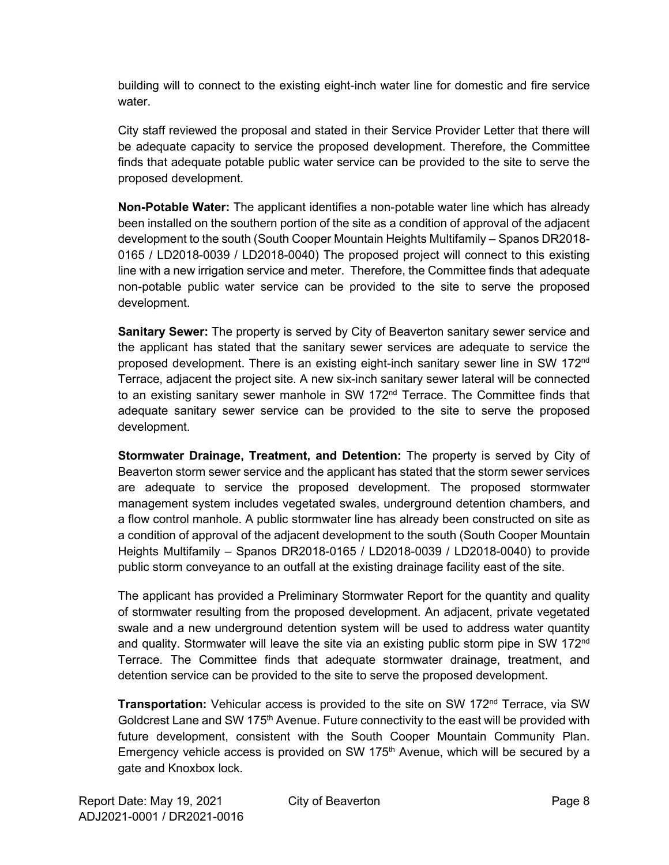building will to connect to the existing eight-inch water line for domestic and fire service water.

City staff reviewed the proposal and stated in their Service Provider Letter that there will be adequate capacity to service the proposed development. Therefore, the Committee finds that adequate potable public water service can be provided to the site to serve the proposed development.

**Non-Potable Water:** The applicant identifies a non-potable water line which has already been installed on the southern portion of the site as a condition of approval of the adjacent development to the south (South Cooper Mountain Heights Multifamily – Spanos DR2018- 0165 / LD2018-0039 / LD2018-0040) The proposed project will connect to this existing line with a new irrigation service and meter. Therefore, the Committee finds that adequate non-potable public water service can be provided to the site to serve the proposed development.

**Sanitary Sewer:** The property is served by City of Beaverton sanitary sewer service and the applicant has stated that the sanitary sewer services are adequate to service the proposed development. There is an existing eight-inch sanitary sewer line in SW 172nd Terrace, adjacent the project site. A new six-inch sanitary sewer lateral will be connected to an existing sanitary sewer manhole in SW 172<sup>nd</sup> Terrace. The Committee finds that adequate sanitary sewer service can be provided to the site to serve the proposed development.

**Stormwater Drainage, Treatment, and Detention:** The property is served by City of Beaverton storm sewer service and the applicant has stated that the storm sewer services are adequate to service the proposed development. The proposed stormwater management system includes vegetated swales, underground detention chambers, and a flow control manhole. A public stormwater line has already been constructed on site as a condition of approval of the adjacent development to the south (South Cooper Mountain Heights Multifamily – Spanos DR2018-0165 / LD2018-0039 / LD2018-0040) to provide public storm conveyance to an outfall at the existing drainage facility east of the site.

The applicant has provided a Preliminary Stormwater Report for the quantity and quality of stormwater resulting from the proposed development. An adjacent, private vegetated swale and a new underground detention system will be used to address water quantity and quality. Stormwater will leave the site via an existing public storm pipe in SW 172<sup>nd</sup> Terrace. The Committee finds that adequate stormwater drainage, treatment, and detention service can be provided to the site to serve the proposed development.

**Transportation:** Vehicular access is provided to the site on SW 172<sup>nd</sup> Terrace, via SW Goldcrest Lane and SW 175<sup>th</sup> Avenue. Future connectivity to the east will be provided with future development, consistent with the South Cooper Mountain Community Plan. Emergency vehicle access is provided on SW 175<sup>th</sup> Avenue, which will be secured by a gate and Knoxbox lock.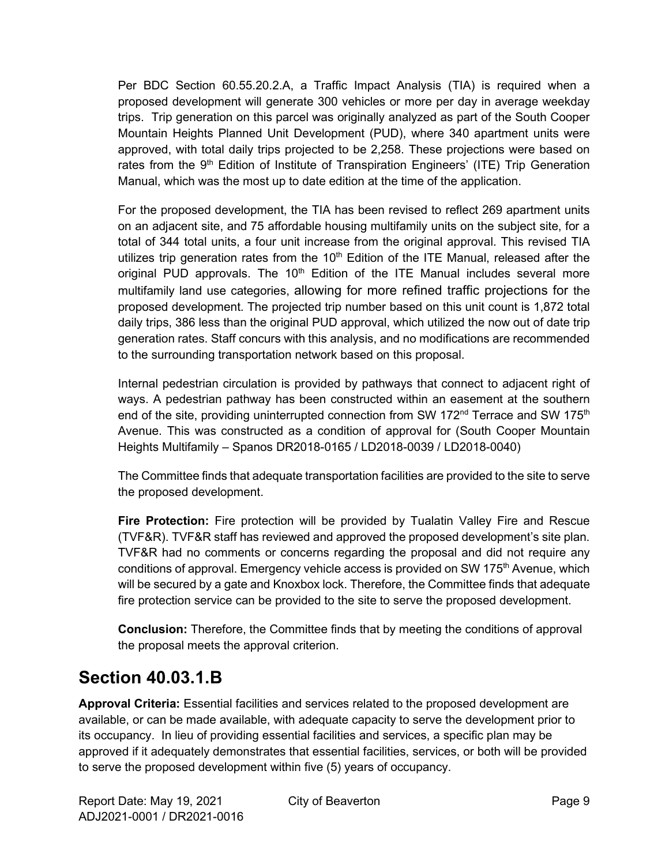Per BDC Section 60.55.20.2.A, a Traffic Impact Analysis (TIA) is required when a proposed development will generate 300 vehicles or more per day in average weekday trips. Trip generation on this parcel was originally analyzed as part of the South Cooper Mountain Heights Planned Unit Development (PUD), where 340 apartment units were approved, with total daily trips projected to be 2,258. These projections were based on rates from the 9<sup>th</sup> Edition of Institute of Transpiration Engineers' (ITE) Trip Generation Manual, which was the most up to date edition at the time of the application.

For the proposed development, the TIA has been revised to reflect 269 apartment units on an adjacent site, and 75 affordable housing multifamily units on the subject site, for a total of 344 total units, a four unit increase from the original approval. This revised TIA utilizes trip generation rates from the 10<sup>th</sup> Edition of the ITE Manual, released after the original PUD approvals. The  $10<sup>th</sup>$  Edition of the ITE Manual includes several more multifamily land use categories, allowing for more refined traffic projections for the proposed development. The projected trip number based on this unit count is 1,872 total daily trips, 386 less than the original PUD approval, which utilized the now out of date trip generation rates. Staff concurs with this analysis, and no modifications are recommended to the surrounding transportation network based on this proposal.

Internal pedestrian circulation is provided by pathways that connect to adjacent right of ways. A pedestrian pathway has been constructed within an easement at the southern end of the site, providing uninterrupted connection from SW 172<sup>nd</sup> Terrace and SW 175<sup>th</sup> Avenue. This was constructed as a condition of approval for (South Cooper Mountain Heights Multifamily – Spanos DR2018-0165 / LD2018-0039 / LD2018-0040)

The Committee finds that adequate transportation facilities are provided to the site to serve the proposed development.

**Fire Protection:** Fire protection will be provided by Tualatin Valley Fire and Rescue (TVF&R). TVF&R staff has reviewed and approved the proposed development's site plan. TVF&R had no comments or concerns regarding the proposal and did not require any conditions of approval. Emergency vehicle access is provided on SW 175<sup>th</sup> Avenue, which will be secured by a gate and Knoxbox lock. Therefore, the Committee finds that adequate fire protection service can be provided to the site to serve the proposed development.

**Conclusion:** Therefore, the Committee finds that by meeting the conditions of approval the proposal meets the approval criterion.

## **Section 40.03.1.B**

**Approval Criteria:** Essential facilities and services related to the proposed development are available, or can be made available, with adequate capacity to serve the development prior to its occupancy. In lieu of providing essential facilities and services, a specific plan may be approved if it adequately demonstrates that essential facilities, services, or both will be provided to serve the proposed development within five (5) years of occupancy.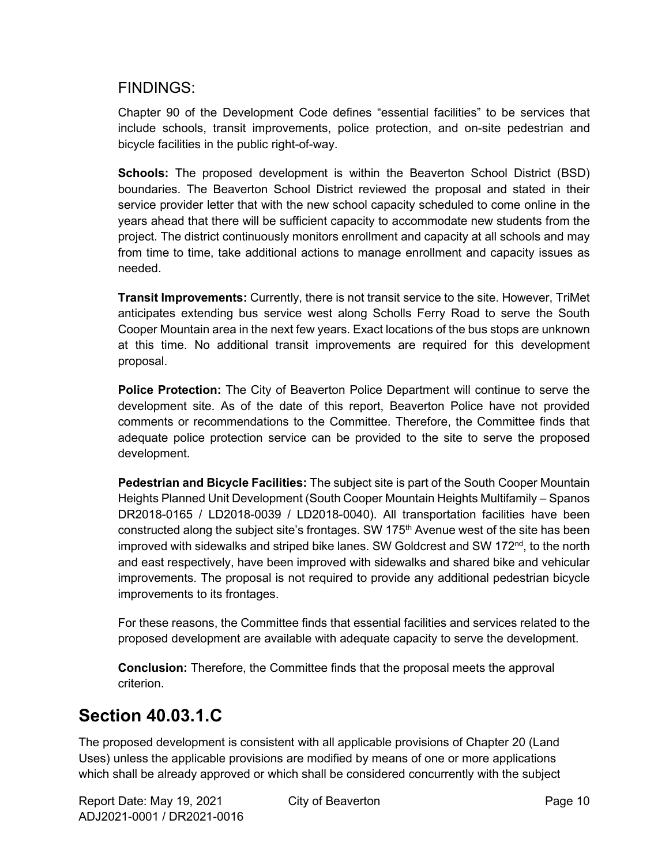### FINDINGS:

Chapter 90 of the Development Code defines "essential facilities" to be services that include schools, transit improvements, police protection, and on-site pedestrian and bicycle facilities in the public right-of-way.

**Schools:** The proposed development is within the Beaverton School District (BSD) boundaries. The Beaverton School District reviewed the proposal and stated in their service provider letter that with the new school capacity scheduled to come online in the years ahead that there will be sufficient capacity to accommodate new students from the project. The district continuously monitors enrollment and capacity at all schools and may from time to time, take additional actions to manage enrollment and capacity issues as needed.

**Transit Improvements:** Currently, there is not transit service to the site. However, TriMet anticipates extending bus service west along Scholls Ferry Road to serve the South Cooper Mountain area in the next few years. Exact locations of the bus stops are unknown at this time. No additional transit improvements are required for this development proposal.

**Police Protection:** The City of Beaverton Police Department will continue to serve the development site. As of the date of this report, Beaverton Police have not provided comments or recommendations to the Committee. Therefore, the Committee finds that adequate police protection service can be provided to the site to serve the proposed development.

**Pedestrian and Bicycle Facilities:** The subject site is part of the South Cooper Mountain Heights Planned Unit Development (South Cooper Mountain Heights Multifamily – Spanos DR2018-0165 / LD2018-0039 / LD2018-0040). All transportation facilities have been constructed along the subject site's frontages. SW  $175<sup>th</sup>$  Avenue west of the site has been improved with sidewalks and striped bike lanes. SW Goldcrest and SW 172<sup>nd</sup>, to the north and east respectively, have been improved with sidewalks and shared bike and vehicular improvements. The proposal is not required to provide any additional pedestrian bicycle improvements to its frontages.

For these reasons, the Committee finds that essential facilities and services related to the proposed development are available with adequate capacity to serve the development.

**Conclusion:** Therefore, the Committee finds that the proposal meets the approval criterion.

## **Section 40.03.1.C**

The proposed development is consistent with all applicable provisions of Chapter 20 (Land Uses) unless the applicable provisions are modified by means of one or more applications which shall be already approved or which shall be considered concurrently with the subject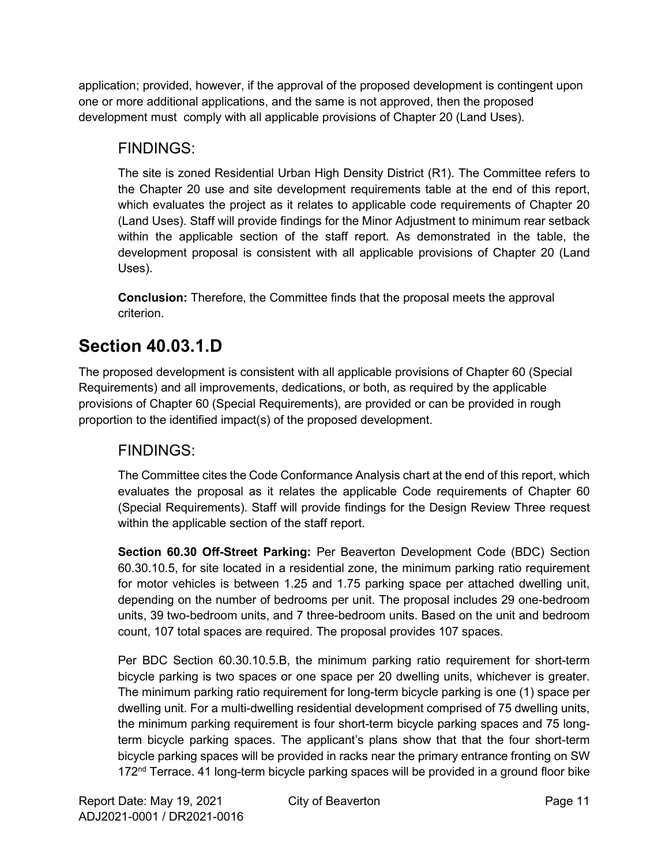application; provided, however, if the approval of the proposed development is contingent upon one or more additional applications, and the same is not approved, then the proposed development must comply with all applicable provisions of Chapter 20 (Land Uses).

## FINDINGS:

The site is zoned Residential Urban High Density District (R1). The Committee refers to the Chapter 20 use and site development requirements table at the end of this report, which evaluates the project as it relates to applicable code requirements of Chapter 20 (Land Uses). Staff will provide findings for the Minor Adjustment to minimum rear setback within the applicable section of the staff report. As demonstrated in the table, the development proposal is consistent with all applicable provisions of Chapter 20 (Land Uses).

**Conclusion:** Therefore, the Committee finds that the proposal meets the approval criterion.

# **Section 40.03.1.D**

The proposed development is consistent with all applicable provisions of Chapter 60 (Special Requirements) and all improvements, dedications, or both, as required by the applicable provisions of Chapter 60 (Special Requirements), are provided or can be provided in rough proportion to the identified impact(s) of the proposed development.

## FINDINGS:

The Committee cites the Code Conformance Analysis chart at the end of this report, which evaluates the proposal as it relates the applicable Code requirements of Chapter 60 (Special Requirements). Staff will provide findings for the Design Review Three request within the applicable section of the staff report.

**Section 60.30 Off-Street Parking:** Per Beaverton Development Code (BDC) Section 60.30.10.5, for site located in a residential zone, the minimum parking ratio requirement for motor vehicles is between 1.25 and 1.75 parking space per attached dwelling unit, depending on the number of bedrooms per unit. The proposal includes 29 one-bedroom units, 39 two-bedroom units, and 7 three-bedroom units. Based on the unit and bedroom count, 107 total spaces are required. The proposal provides 107 spaces.

Per BDC Section 60.30.10.5.B, the minimum parking ratio requirement for short-term bicycle parking is two spaces or one space per 20 dwelling units, whichever is greater. The minimum parking ratio requirement for long-term bicycle parking is one (1) space per dwelling unit. For a multi-dwelling residential development comprised of 75 dwelling units, the minimum parking requirement is four short-term bicycle parking spaces and 75 longterm bicycle parking spaces. The applicant's plans show that that the four short-term bicycle parking spaces will be provided in racks near the primary entrance fronting on SW 172<sup>nd</sup> Terrace. 41 long-term bicycle parking spaces will be provided in a ground floor bike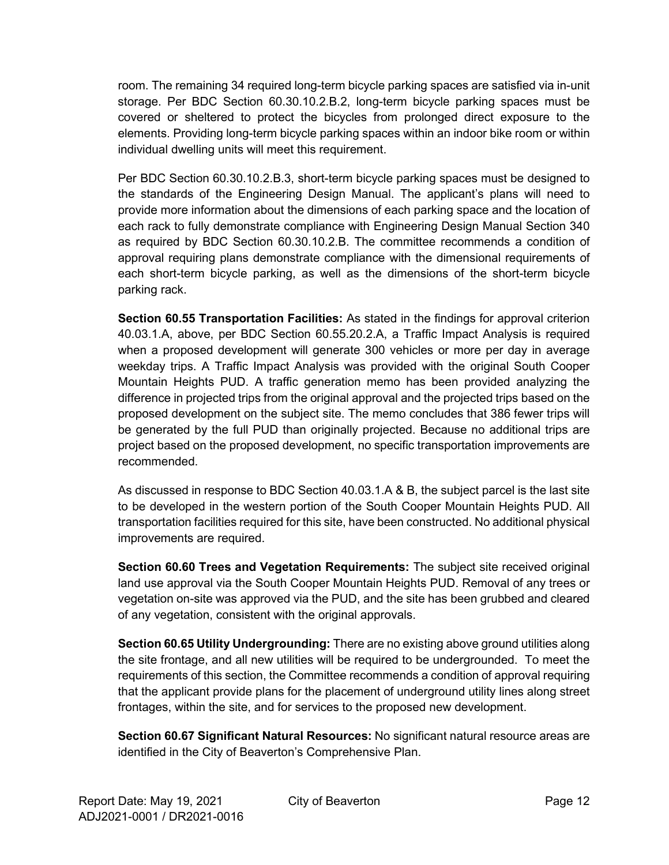room. The remaining 34 required long-term bicycle parking spaces are satisfied via in-unit storage. Per BDC Section 60.30.10.2.B.2, long-term bicycle parking spaces must be covered or sheltered to protect the bicycles from prolonged direct exposure to the elements. Providing long-term bicycle parking spaces within an indoor bike room or within individual dwelling units will meet this requirement.

Per BDC Section 60.30.10.2.B.3, short-term bicycle parking spaces must be designed to the standards of the Engineering Design Manual. The applicant's plans will need to provide more information about the dimensions of each parking space and the location of each rack to fully demonstrate compliance with Engineering Design Manual Section 340 as required by BDC Section 60.30.10.2.B. The committee recommends a condition of approval requiring plans demonstrate compliance with the dimensional requirements of each short-term bicycle parking, as well as the dimensions of the short-term bicycle parking rack.

**Section 60.55 Transportation Facilities:** As stated in the findings for approval criterion 40.03.1.A, above, per BDC Section 60.55.20.2.A, a Traffic Impact Analysis is required when a proposed development will generate 300 vehicles or more per day in average weekday trips. A Traffic Impact Analysis was provided with the original South Cooper Mountain Heights PUD. A traffic generation memo has been provided analyzing the difference in projected trips from the original approval and the projected trips based on the proposed development on the subject site. The memo concludes that 386 fewer trips will be generated by the full PUD than originally projected. Because no additional trips are project based on the proposed development, no specific transportation improvements are recommended.

As discussed in response to BDC Section 40.03.1.A & B, the subject parcel is the last site to be developed in the western portion of the South Cooper Mountain Heights PUD. All transportation facilities required for this site, have been constructed. No additional physical improvements are required.

**Section 60.60 Trees and Vegetation Requirements:** The subject site received original land use approval via the South Cooper Mountain Heights PUD. Removal of any trees or vegetation on-site was approved via the PUD, and the site has been grubbed and cleared of any vegetation, consistent with the original approvals.

**Section 60.65 Utility Undergrounding:** There are no existing above ground utilities along the site frontage, and all new utilities will be required to be undergrounded. To meet the requirements of this section, the Committee recommends a condition of approval requiring that the applicant provide plans for the placement of underground utility lines along street frontages, within the site, and for services to the proposed new development.

**Section 60.67 Significant Natural Resources:** No significant natural resource areas are identified in the City of Beaverton's Comprehensive Plan.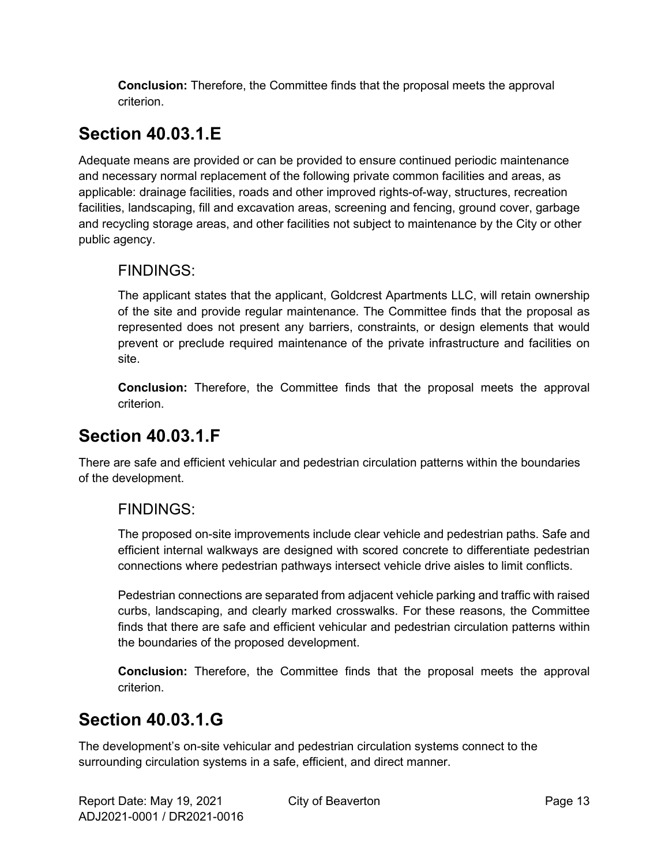**Conclusion:** Therefore, the Committee finds that the proposal meets the approval criterion.

# **Section 40.03.1.E**

Adequate means are provided or can be provided to ensure continued periodic maintenance and necessary normal replacement of the following private common facilities and areas, as applicable: drainage facilities, roads and other improved rights-of-way, structures, recreation facilities, landscaping, fill and excavation areas, screening and fencing, ground cover, garbage and recycling storage areas, and other facilities not subject to maintenance by the City or other public agency.

### FINDINGS:

The applicant states that the applicant, Goldcrest Apartments LLC, will retain ownership of the site and provide regular maintenance. The Committee finds that the proposal as represented does not present any barriers, constraints, or design elements that would prevent or preclude required maintenance of the private infrastructure and facilities on site.

**Conclusion:** Therefore, the Committee finds that the proposal meets the approval criterion.

## **Section 40.03.1.F**

There are safe and efficient vehicular and pedestrian circulation patterns within the boundaries of the development.

### FINDINGS:

The proposed on-site improvements include clear vehicle and pedestrian paths. Safe and efficient internal walkways are designed with scored concrete to differentiate pedestrian connections where pedestrian pathways intersect vehicle drive aisles to limit conflicts.

Pedestrian connections are separated from adjacent vehicle parking and traffic with raised curbs, landscaping, and clearly marked crosswalks. For these reasons, the Committee finds that there are safe and efficient vehicular and pedestrian circulation patterns within the boundaries of the proposed development.

**Conclusion:** Therefore, the Committee finds that the proposal meets the approval criterion.

## **Section 40.03.1.G**

The development's on-site vehicular and pedestrian circulation systems connect to the surrounding circulation systems in a safe, efficient, and direct manner.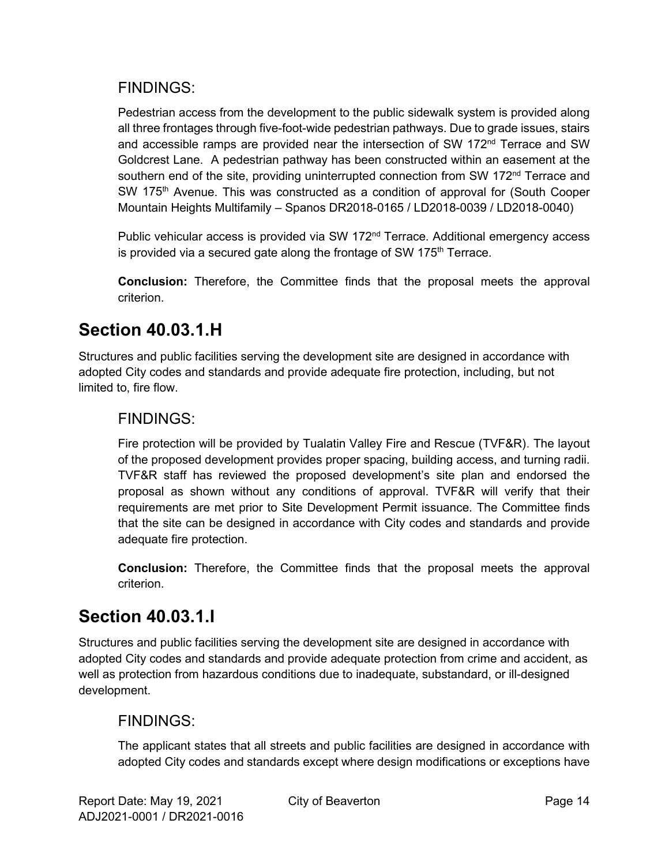### FINDINGS:

Pedestrian access from the development to the public sidewalk system is provided along all three frontages through five-foot-wide pedestrian pathways. Due to grade issues, stairs and accessible ramps are provided near the intersection of SW 172 $<sup>nd</sup>$  Terrace and SW</sup> Goldcrest Lane. A pedestrian pathway has been constructed within an easement at the southern end of the site, providing uninterrupted connection from SW 172<sup>nd</sup> Terrace and SW 175<sup>th</sup> Avenue. This was constructed as a condition of approval for (South Cooper Mountain Heights Multifamily – Spanos DR2018-0165 / LD2018-0039 / LD2018-0040)

Public vehicular access is provided via SW 172<sup>nd</sup> Terrace. Additional emergency access is provided via a secured gate along the frontage of SW 175<sup>th</sup> Terrace.

**Conclusion:** Therefore, the Committee finds that the proposal meets the approval criterion.

## **Section 40.03.1.H**

Structures and public facilities serving the development site are designed in accordance with adopted City codes and standards and provide adequate fire protection, including, but not limited to, fire flow.

### FINDINGS:

Fire protection will be provided by Tualatin Valley Fire and Rescue (TVF&R). The layout of the proposed development provides proper spacing, building access, and turning radii. TVF&R staff has reviewed the proposed development's site plan and endorsed the proposal as shown without any conditions of approval. TVF&R will verify that their requirements are met prior to Site Development Permit issuance. The Committee finds that the site can be designed in accordance with City codes and standards and provide adequate fire protection.

**Conclusion:** Therefore, the Committee finds that the proposal meets the approval criterion.

## **Section 40.03.1.I**

Structures and public facilities serving the development site are designed in accordance with adopted City codes and standards and provide adequate protection from crime and accident, as well as protection from hazardous conditions due to inadequate, substandard, or ill-designed development.

### FINDINGS:

The applicant states that all streets and public facilities are designed in accordance with adopted City codes and standards except where design modifications or exceptions have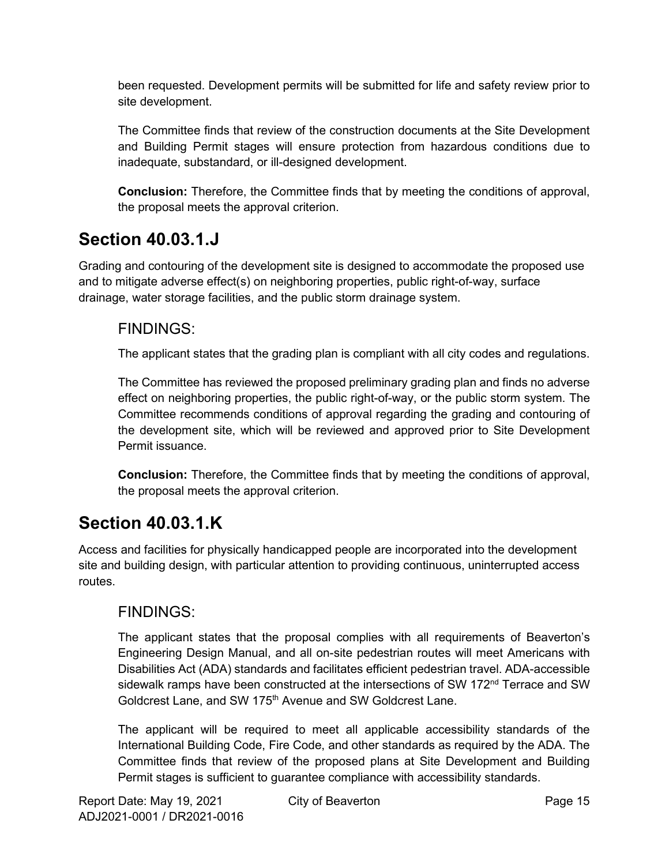been requested. Development permits will be submitted for life and safety review prior to site development.

The Committee finds that review of the construction documents at the Site Development and Building Permit stages will ensure protection from hazardous conditions due to inadequate, substandard, or ill-designed development.

**Conclusion:** Therefore, the Committee finds that by meeting the conditions of approval, the proposal meets the approval criterion.

## **Section 40.03.1.J**

Grading and contouring of the development site is designed to accommodate the proposed use and to mitigate adverse effect(s) on neighboring properties, public right-of-way, surface drainage, water storage facilities, and the public storm drainage system.

### FINDINGS:

The applicant states that the grading plan is compliant with all city codes and regulations.

The Committee has reviewed the proposed preliminary grading plan and finds no adverse effect on neighboring properties, the public right-of-way, or the public storm system. The Committee recommends conditions of approval regarding the grading and contouring of the development site, which will be reviewed and approved prior to Site Development Permit issuance.

**Conclusion:** Therefore, the Committee finds that by meeting the conditions of approval, the proposal meets the approval criterion.

## **Section 40.03.1.K**

Access and facilities for physically handicapped people are incorporated into the development site and building design, with particular attention to providing continuous, uninterrupted access routes.

### FINDINGS:

The applicant states that the proposal complies with all requirements of Beaverton's Engineering Design Manual, and all on-site pedestrian routes will meet Americans with Disabilities Act (ADA) standards and facilitates efficient pedestrian travel. ADA-accessible sidewalk ramps have been constructed at the intersections of SW 172<sup>nd</sup> Terrace and SW Goldcrest Lane, and SW 175<sup>th</sup> Avenue and SW Goldcrest Lane.

The applicant will be required to meet all applicable accessibility standards of the International Building Code, Fire Code, and other standards as required by the ADA. The Committee finds that review of the proposed plans at Site Development and Building Permit stages is sufficient to guarantee compliance with accessibility standards.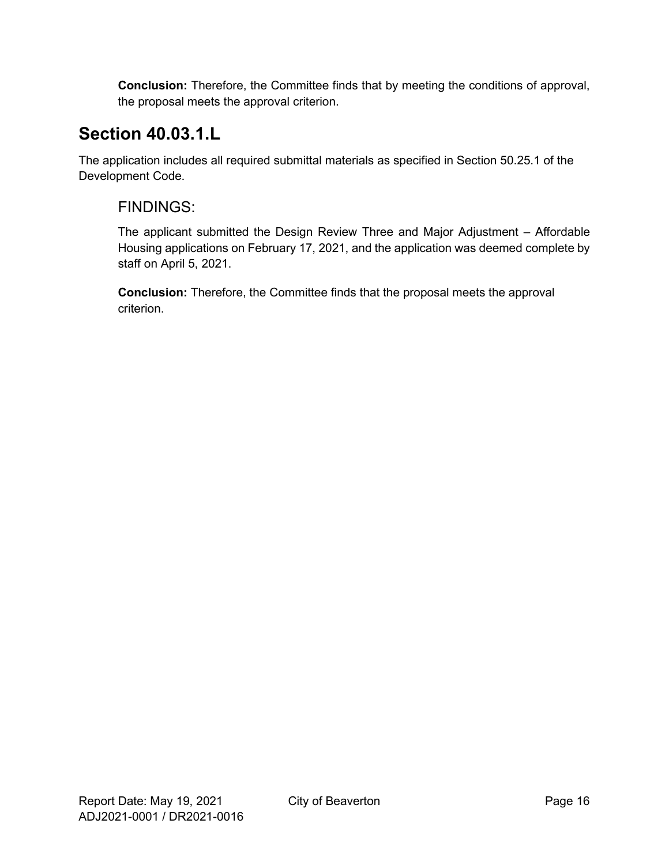**Conclusion:** Therefore, the Committee finds that by meeting the conditions of approval, the proposal meets the approval criterion.

# **Section 40.03.1.L**

The application includes all required submittal materials as specified in Section 50.25.1 of the Development Code.

### FINDINGS:

The applicant submitted the Design Review Three and Major Adjustment – Affordable Housing applications on February 17, 2021, and the application was deemed complete by staff on April 5, 2021.

**Conclusion:** Therefore, the Committee finds that the proposal meets the approval criterion.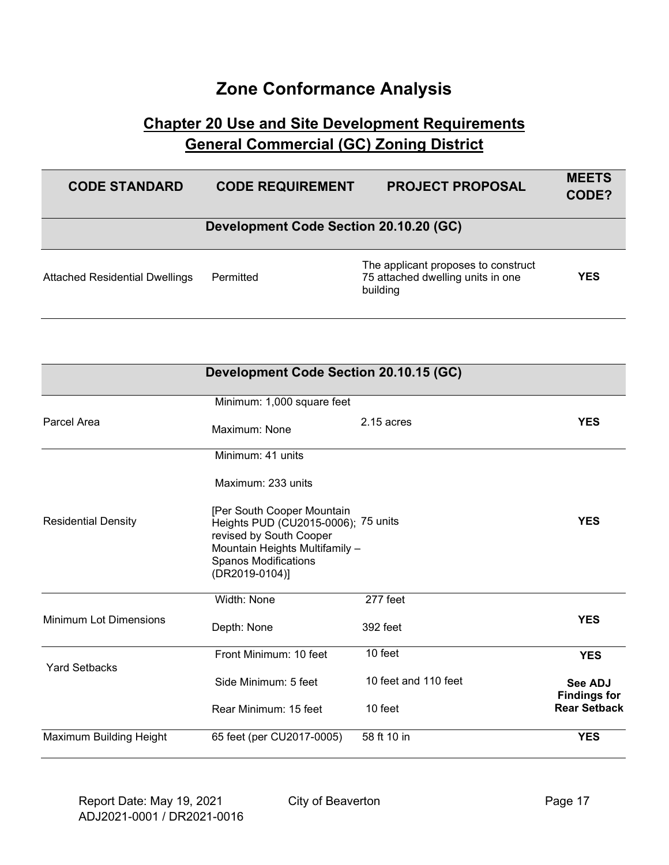## **Zone Conformance Analysis**

## **Chapter 20 Use and Site Development Requirements General Commercial (GC) Zoning District**

| <b>CODE STANDARD</b>                  | <b>CODE REQUIREMENT</b>                | <b>PROJECT PROPOSAL</b>                                                              | <b>MEETS</b><br>CODE? |
|---------------------------------------|----------------------------------------|--------------------------------------------------------------------------------------|-----------------------|
|                                       | Development Code Section 20.10.20 (GC) |                                                                                      |                       |
| <b>Attached Residential Dwellings</b> | Permitted                              | The applicant proposes to construct<br>75 attached dwelling units in one<br>building | <b>YES</b>            |

| Development Code Section 20.10.15 (GC) |                                                                                                                                                                                 |                      |                                            |
|----------------------------------------|---------------------------------------------------------------------------------------------------------------------------------------------------------------------------------|----------------------|--------------------------------------------|
|                                        | Minimum: 1,000 square feet                                                                                                                                                      |                      |                                            |
| Parcel Area                            | Maximum: None                                                                                                                                                                   | $2.15$ acres         | <b>YES</b>                                 |
|                                        | Minimum: 41 units                                                                                                                                                               |                      |                                            |
|                                        | Maximum: 233 units                                                                                                                                                              |                      |                                            |
| <b>Residential Density</b>             | [Per South Cooper Mountain<br>Heights PUD (CU2015-0006); 75 units<br>revised by South Cooper<br>Mountain Heights Multifamily -<br><b>Spanos Modifications</b><br>(DR2019-0104)] |                      | <b>YES</b>                                 |
|                                        | Width: None                                                                                                                                                                     | 277 feet             |                                            |
| <b>Minimum Lot Dimensions</b>          | Depth: None                                                                                                                                                                     | 392 feet             | <b>YES</b>                                 |
| <b>Yard Setbacks</b>                   | Front Minimum: 10 feet                                                                                                                                                          | 10 feet              | <b>YES</b>                                 |
|                                        | Side Minimum: 5 feet                                                                                                                                                            | 10 feet and 110 feet | <b>See ADJ</b>                             |
|                                        | Rear Minimum: 15 feet                                                                                                                                                           | 10 feet              | <b>Findings for</b><br><b>Rear Setback</b> |
| Maximum Building Height                | 65 feet (per CU2017-0005)                                                                                                                                                       | 58 ft 10 in          | <b>YES</b>                                 |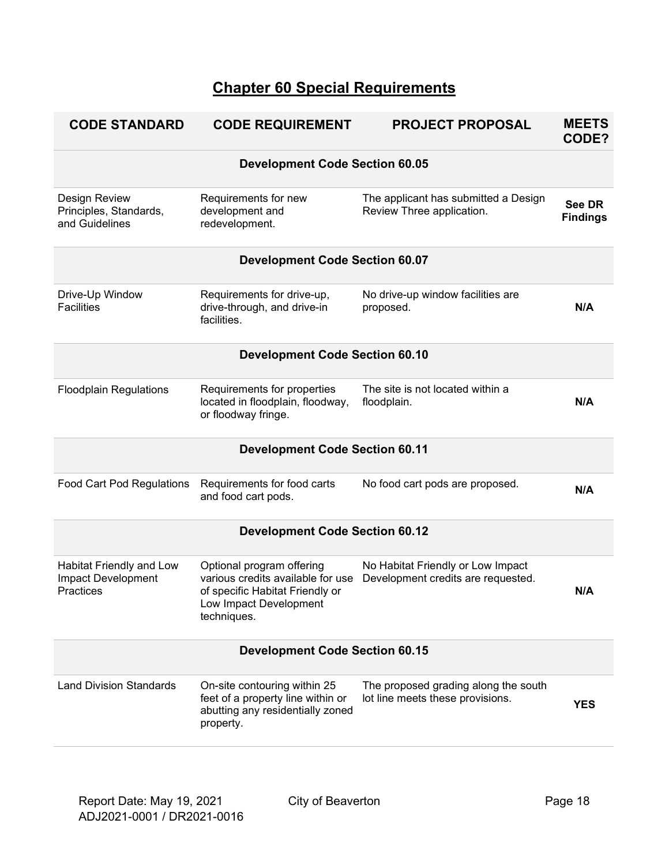## **Chapter 60 Special Requirements**

| <b>CODE STANDARD</b>                                               | <b>CODE REQUIREMENT</b>                                                                                                                    | <b>PROJECT PROPOSAL</b>                                                  | <b>MEETS</b><br>CODE?            |  |  |
|--------------------------------------------------------------------|--------------------------------------------------------------------------------------------------------------------------------------------|--------------------------------------------------------------------------|----------------------------------|--|--|
|                                                                    | <b>Development Code Section 60.05</b>                                                                                                      |                                                                          |                                  |  |  |
| Design Review<br>Principles, Standards,<br>and Guidelines          | Requirements for new<br>development and<br>redevelopment.                                                                                  | The applicant has submitted a Design<br>Review Three application.        | <b>See DR</b><br><b>Findings</b> |  |  |
|                                                                    | <b>Development Code Section 60.07</b>                                                                                                      |                                                                          |                                  |  |  |
| Drive-Up Window<br><b>Facilities</b>                               | Requirements for drive-up,<br>drive-through, and drive-in<br>facilities.                                                                   | No drive-up window facilities are<br>proposed.                           | N/A                              |  |  |
|                                                                    | <b>Development Code Section 60.10</b>                                                                                                      |                                                                          |                                  |  |  |
| <b>Floodplain Regulations</b>                                      | Requirements for properties<br>located in floodplain, floodway,<br>or floodway fringe.                                                     | The site is not located within a<br>floodplain.                          | N/A                              |  |  |
|                                                                    | <b>Development Code Section 60.11</b>                                                                                                      |                                                                          |                                  |  |  |
| Food Cart Pod Regulations                                          | Requirements for food carts<br>and food cart pods.                                                                                         | No food cart pods are proposed.                                          | N/A                              |  |  |
|                                                                    | <b>Development Code Section 60.12</b>                                                                                                      |                                                                          |                                  |  |  |
| Habitat Friendly and Low<br><b>Impact Development</b><br>Practices | Optional program offering<br>various credits available for use<br>of specific Habitat Friendly or<br>Low Impact Development<br>techniques. | No Habitat Friendly or Low Impact<br>Development credits are requested.  | N/A                              |  |  |
|                                                                    | <b>Development Code Section 60.15</b>                                                                                                      |                                                                          |                                  |  |  |
| <b>Land Division Standards</b>                                     | On-site contouring within 25<br>feet of a property line within or<br>abutting any residentially zoned<br>property.                         | The proposed grading along the south<br>lot line meets these provisions. | <b>YES</b>                       |  |  |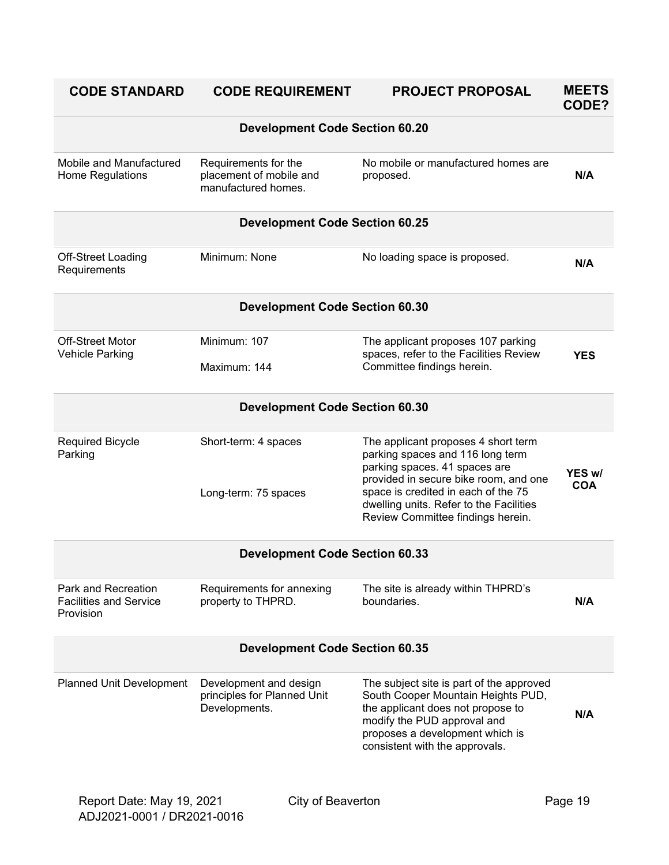| <b>CODE STANDARD</b>                                              | <b>CODE REQUIREMENT</b>                                                | <b>PROJECT PROPOSAL</b>                                                                                                                                                                                                                                                  | <b>MEETS</b><br>CODE? |
|-------------------------------------------------------------------|------------------------------------------------------------------------|--------------------------------------------------------------------------------------------------------------------------------------------------------------------------------------------------------------------------------------------------------------------------|-----------------------|
|                                                                   | <b>Development Code Section 60.20</b>                                  |                                                                                                                                                                                                                                                                          |                       |
| Mobile and Manufactured<br>Home Regulations                       | Requirements for the<br>placement of mobile and<br>manufactured homes. | No mobile or manufactured homes are<br>proposed.                                                                                                                                                                                                                         | N/A                   |
|                                                                   | <b>Development Code Section 60.25</b>                                  |                                                                                                                                                                                                                                                                          |                       |
| Off-Street Loading<br>Requirements                                | Minimum: None                                                          | No loading space is proposed.                                                                                                                                                                                                                                            | N/A                   |
|                                                                   | <b>Development Code Section 60.30</b>                                  |                                                                                                                                                                                                                                                                          |                       |
| <b>Off-Street Motor</b><br>Vehicle Parking                        | Minimum: 107<br>Maximum: 144                                           | The applicant proposes 107 parking<br>spaces, refer to the Facilities Review<br>Committee findings herein.                                                                                                                                                               | <b>YES</b>            |
|                                                                   | <b>Development Code Section 60.30</b>                                  |                                                                                                                                                                                                                                                                          |                       |
| <b>Required Bicycle</b><br>Parking                                | Short-term: 4 spaces<br>Long-term: 75 spaces                           | The applicant proposes 4 short term<br>parking spaces and 116 long term<br>parking spaces. 41 spaces are<br>provided in secure bike room, and one<br>space is credited in each of the 75<br>dwelling units. Refer to the Facilities<br>Review Committee findings herein. | YES w/<br><b>COA</b>  |
|                                                                   | <b>Development Code Section 60.33</b>                                  |                                                                                                                                                                                                                                                                          |                       |
| Park and Recreation<br><b>Facilities and Service</b><br>Provision | Requirements for annexing<br>property to THPRD.                        | The site is already within THPRD's<br>houndaries                                                                                                                                                                                                                         | N/A                   |
| <b>Development Code Section 60.35</b>                             |                                                                        |                                                                                                                                                                                                                                                                          |                       |
| <b>Planned Unit Development</b>                                   | Development and design<br>principles for Planned Unit<br>Developments. | The subject site is part of the approved<br>South Cooper Mountain Heights PUD,<br>the applicant does not propose to<br>modify the PUD approval and<br>proposes a development which is<br>consistent with the approvals.                                                  | N/A                   |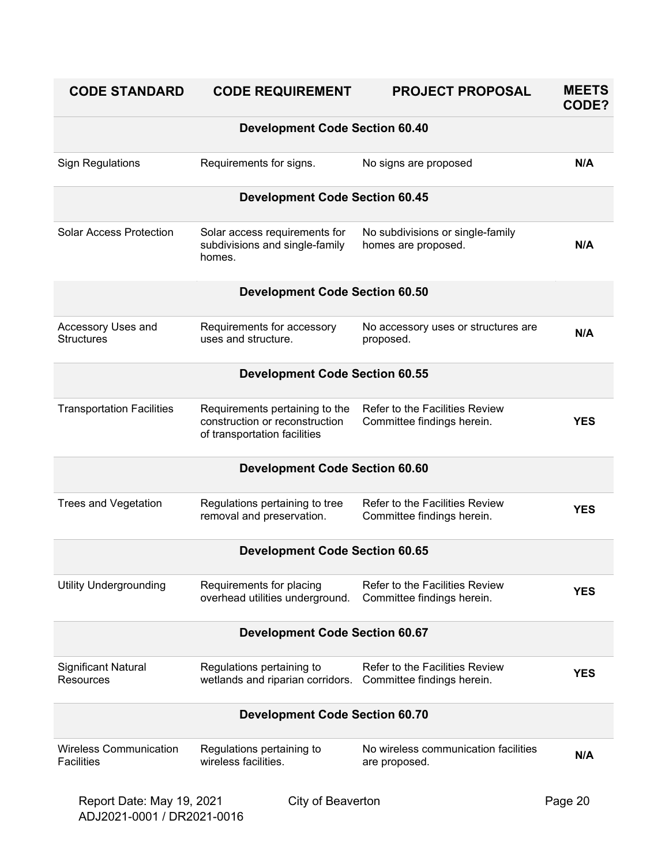| <b>CODE STANDARD</b>                               | <b>CODE REQUIREMENT</b>                                                                          | <b>PROJECT PROPOSAL</b>                                             | <b>MEETS</b><br>CODE? |  |
|----------------------------------------------------|--------------------------------------------------------------------------------------------------|---------------------------------------------------------------------|-----------------------|--|
|                                                    | <b>Development Code Section 60.40</b>                                                            |                                                                     |                       |  |
| <b>Sign Regulations</b>                            | Requirements for signs.                                                                          | No signs are proposed                                               | N/A                   |  |
|                                                    | <b>Development Code Section 60.45</b>                                                            |                                                                     |                       |  |
| <b>Solar Access Protection</b>                     | Solar access requirements for<br>subdivisions and single-family<br>homes.                        | No subdivisions or single-family<br>homes are proposed.             | N/A                   |  |
|                                                    | <b>Development Code Section 60.50</b>                                                            |                                                                     |                       |  |
| Accessory Uses and<br><b>Structures</b>            | Requirements for accessory<br>uses and structure.                                                | No accessory uses or structures are<br>proposed.                    | N/A                   |  |
|                                                    | <b>Development Code Section 60.55</b>                                                            |                                                                     |                       |  |
| <b>Transportation Facilities</b>                   | Requirements pertaining to the<br>construction or reconstruction<br>of transportation facilities | Refer to the Facilities Review<br>Committee findings herein.        | <b>YES</b>            |  |
|                                                    | <b>Development Code Section 60.60</b>                                                            |                                                                     |                       |  |
| <b>Trees and Vegetation</b>                        | Regulations pertaining to tree<br>removal and preservation.                                      | Refer to the Facilities Review<br>Committee findings herein.        | <b>YES</b>            |  |
|                                                    | <b>Development Code Section 60.65</b>                                                            |                                                                     |                       |  |
| <b>Utility Undergrounding</b>                      | Requirements for placing<br>overhead utilities underground.                                      | <b>Refer to the Facilities Review</b><br>Committee findings herein. | <b>YES</b>            |  |
|                                                    | <b>Development Code Section 60.67</b>                                                            |                                                                     |                       |  |
| Significant Natural<br><b>Resources</b>            | Regulations pertaining to<br>wetlands and riparian corridors.                                    | <b>Refer to the Facilities Review</b><br>Committee findings herein. | <b>YES</b>            |  |
|                                                    | <b>Development Code Section 60.70</b>                                                            |                                                                     |                       |  |
| <b>Wireless Communication</b><br><b>Facilities</b> | Regulations pertaining to<br>wireless facilities.                                                | No wireless communication facilities<br>are proposed.               | N/A                   |  |
| Report Date: May 19, 2021                          | City of Beaverton                                                                                |                                                                     | Page 20               |  |

ADJ2021-0001 / DR2021-0016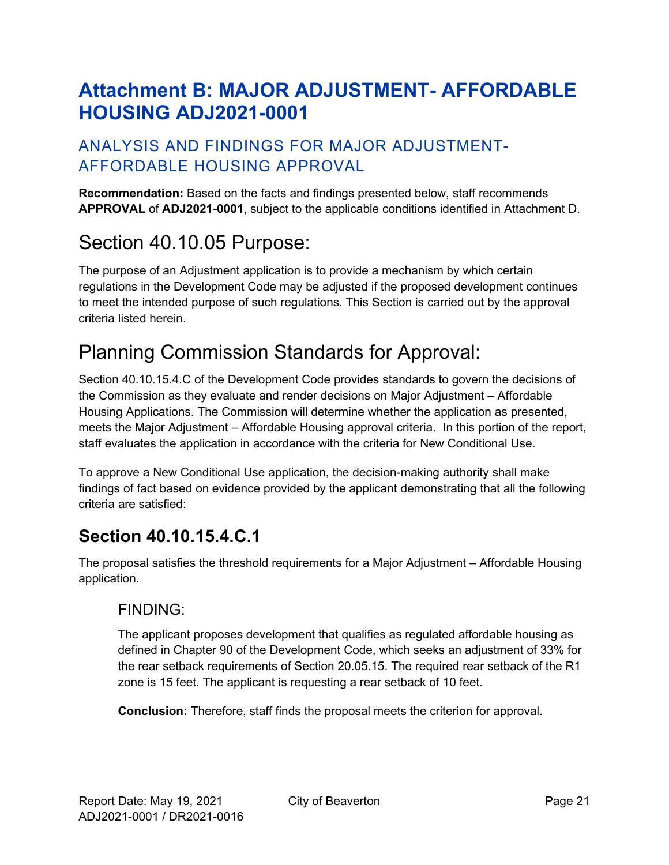# <span id="page-20-0"></span>**Attachment B: MAJOR ADJUSTMENT- AFFORDABLE HOUSING ADJ2021-0001**

## ANALYSIS AND FINDINGS FOR MAJOR ADJUSTMENT-AFFORDABLE HOUSING APPROVAL

**Recommendation:** Based on the facts and findings presented below, staff recommends **APPROVAL** of **ADJ2021-0001**, subject to the applicable conditions identified in Attachment D.

# Section 40.10.05 Purpose:

The purpose of an Adjustment application is to provide a mechanism by which certain regulations in the Development Code may be adjusted if the proposed development continues to meet the intended purpose of such regulations. This Section is carried out by the approval criteria listed herein.

# Planning Commission Standards for Approval:

Section 40.10.15.4.C of the Development Code provides standards to govern the decisions of the Commission as they evaluate and render decisions on Major Adjustment – Affordable Housing Applications. The Commission will determine whether the application as presented, meets the Major Adjustment – Affordable Housing approval criteria. In this portion of the report, staff evaluates the application in accordance with the criteria for New Conditional Use.

To approve a New Conditional Use application, the decision-making authority shall make findings of fact based on evidence provided by the applicant demonstrating that all the following criteria are satisfied:

# **Section 40.10.15.4.C.1**

The proposal satisfies the threshold requirements for a Major Adjustment – Affordable Housing application.

### FINDING:

The applicant proposes development that qualifies as regulated affordable housing as defined in Chapter 90 of the Development Code, which seeks an adjustment of 33% for the rear setback requirements of Section 20.05.15. The required rear setback of the R1 zone is 15 feet. The applicant is requesting a rear setback of 10 feet.

**Conclusion:** Therefore, staff finds the proposal meets the criterion for approval.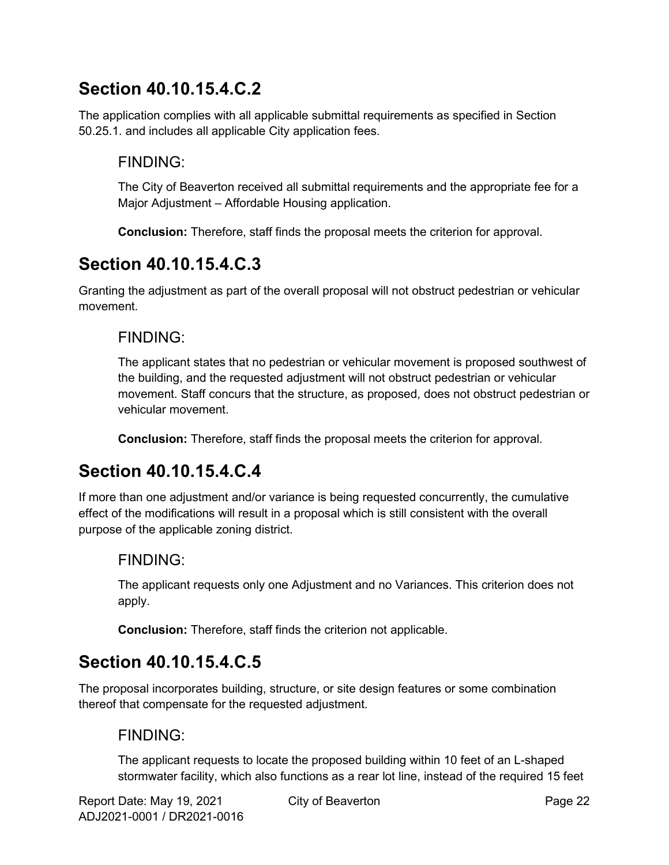## **Section 40.10.15.4.C.2**

The application complies with all applicable submittal requirements as specified in Section 50.25.1. and includes all applicable City application fees.

### FINDING:

The City of Beaverton received all submittal requirements and the appropriate fee for a Major Adjustment – Affordable Housing application.

**Conclusion:** Therefore, staff finds the proposal meets the criterion for approval.

## **Section 40.10.15.4.C.3**

Granting the adjustment as part of the overall proposal will not obstruct pedestrian or vehicular movement.

### FINDING:

The applicant states that no pedestrian or vehicular movement is proposed southwest of the building, and the requested adjustment will not obstruct pedestrian or vehicular movement. Staff concurs that the structure, as proposed, does not obstruct pedestrian or vehicular movement.

**Conclusion:** Therefore, staff finds the proposal meets the criterion for approval.

## **Section 40.10.15.4.C.4**

If more than one adjustment and/or variance is being requested concurrently, the cumulative effect of the modifications will result in a proposal which is still consistent with the overall purpose of the applicable zoning district.

### FINDING:

The applicant requests only one Adjustment and no Variances. This criterion does not apply.

**Conclusion:** Therefore, staff finds the criterion not applicable.

## **Section 40.10.15.4.C.5**

The proposal incorporates building, structure, or site design features or some combination thereof that compensate for the requested adjustment.

### FINDING:

The applicant requests to locate the proposed building within 10 feet of an L-shaped stormwater facility, which also functions as a rear lot line, instead of the required 15 feet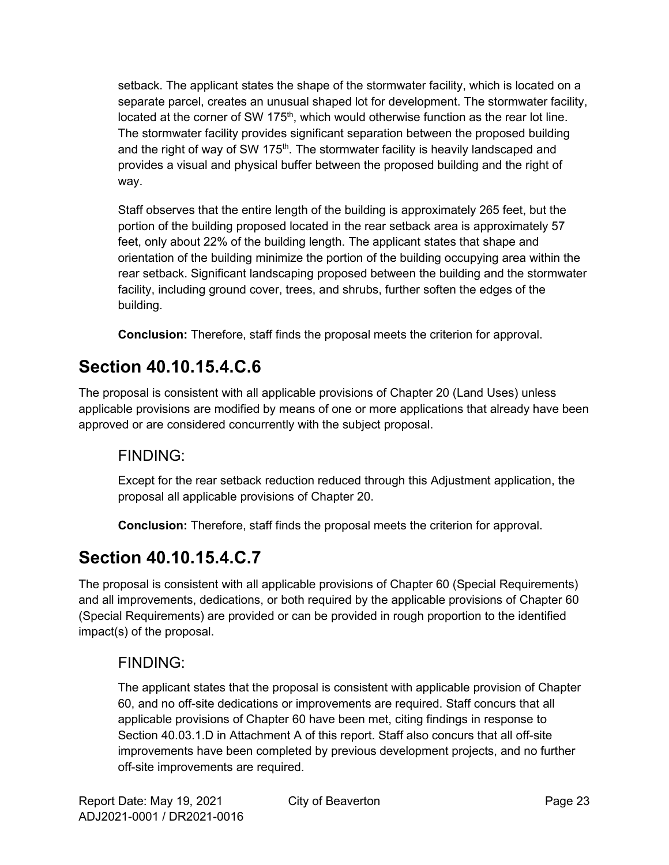setback. The applicant states the shape of the stormwater facility, which is located on a separate parcel, creates an unusual shaped lot for development. The stormwater facility, located at the corner of SW 175<sup>th</sup>, which would otherwise function as the rear lot line. The stormwater facility provides significant separation between the proposed building and the right of way of SW 175<sup>th</sup>. The stormwater facility is heavily landscaped and provides a visual and physical buffer between the proposed building and the right of way.

Staff observes that the entire length of the building is approximately 265 feet, but the portion of the building proposed located in the rear setback area is approximately 57 feet, only about 22% of the building length. The applicant states that shape and orientation of the building minimize the portion of the building occupying area within the rear setback. Significant landscaping proposed between the building and the stormwater facility, including ground cover, trees, and shrubs, further soften the edges of the building.

**Conclusion:** Therefore, staff finds the proposal meets the criterion for approval.

# **Section 40.10.15.4.C.6**

The proposal is consistent with all applicable provisions of Chapter 20 (Land Uses) unless applicable provisions are modified by means of one or more applications that already have been approved or are considered concurrently with the subject proposal.

## FINDING:

Except for the rear setback reduction reduced through this Adjustment application, the proposal all applicable provisions of Chapter 20.

**Conclusion:** Therefore, staff finds the proposal meets the criterion for approval.

# **Section 40.10.15.4.C.7**

The proposal is consistent with all applicable provisions of Chapter 60 (Special Requirements) and all improvements, dedications, or both required by the applicable provisions of Chapter 60 (Special Requirements) are provided or can be provided in rough proportion to the identified impact(s) of the proposal.

## FINDING:

The applicant states that the proposal is consistent with applicable provision of Chapter 60, and no off-site dedications or improvements are required. Staff concurs that all applicable provisions of Chapter 60 have been met, citing findings in response to Section 40.03.1.D in Attachment A of this report. Staff also concurs that all off-site improvements have been completed by previous development projects, and no further off-site improvements are required.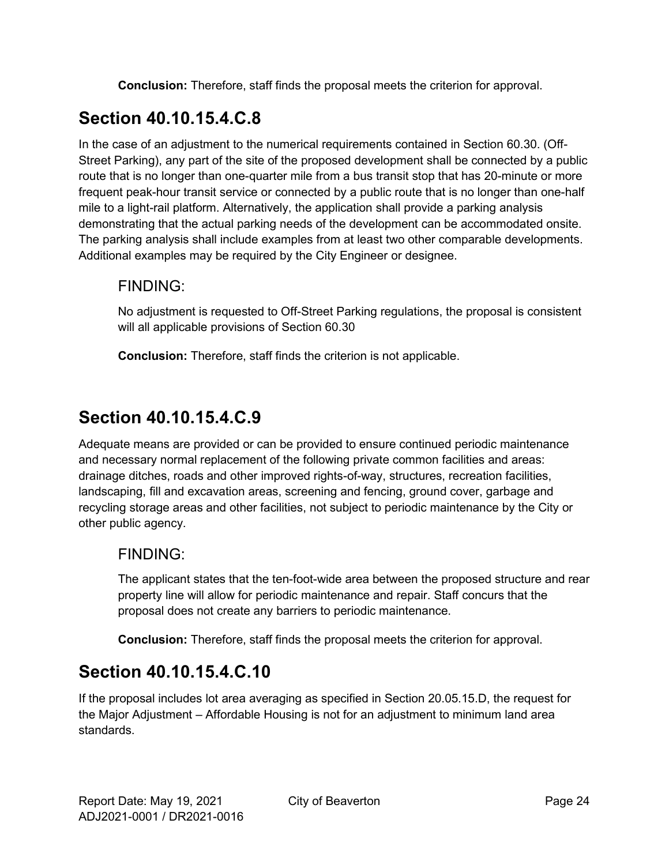**Conclusion:** Therefore, staff finds the proposal meets the criterion for approval.

# **Section 40.10.15.4.C.8**

In the case of an adjustment to the numerical requirements contained in Section 60.30. (Off-Street Parking), any part of the site of the proposed development shall be connected by a public route that is no longer than one-quarter mile from a bus transit stop that has 20-minute or more frequent peak-hour transit service or connected by a public route that is no longer than one-half mile to a light-rail platform. Alternatively, the application shall provide a parking analysis demonstrating that the actual parking needs of the development can be accommodated onsite. The parking analysis shall include examples from at least two other comparable developments. Additional examples may be required by the City Engineer or designee.

### FINDING:

No adjustment is requested to Off-Street Parking regulations, the proposal is consistent will all applicable provisions of Section 60.30

**Conclusion:** Therefore, staff finds the criterion is not applicable.

# **Section 40.10.15.4.C.9**

Adequate means are provided or can be provided to ensure continued periodic maintenance and necessary normal replacement of the following private common facilities and areas: drainage ditches, roads and other improved rights-of-way, structures, recreation facilities, landscaping, fill and excavation areas, screening and fencing, ground cover, garbage and recycling storage areas and other facilities, not subject to periodic maintenance by the City or other public agency.

### FINDING:

The applicant states that the ten-foot-wide area between the proposed structure and rear property line will allow for periodic maintenance and repair. Staff concurs that the proposal does not create any barriers to periodic maintenance.

**Conclusion:** Therefore, staff finds the proposal meets the criterion for approval.

# **Section 40.10.15.4.C.10**

If the proposal includes lot area averaging as specified in Section 20.05.15.D, the request for the Major Adjustment – Affordable Housing is not for an adjustment to minimum land area standards.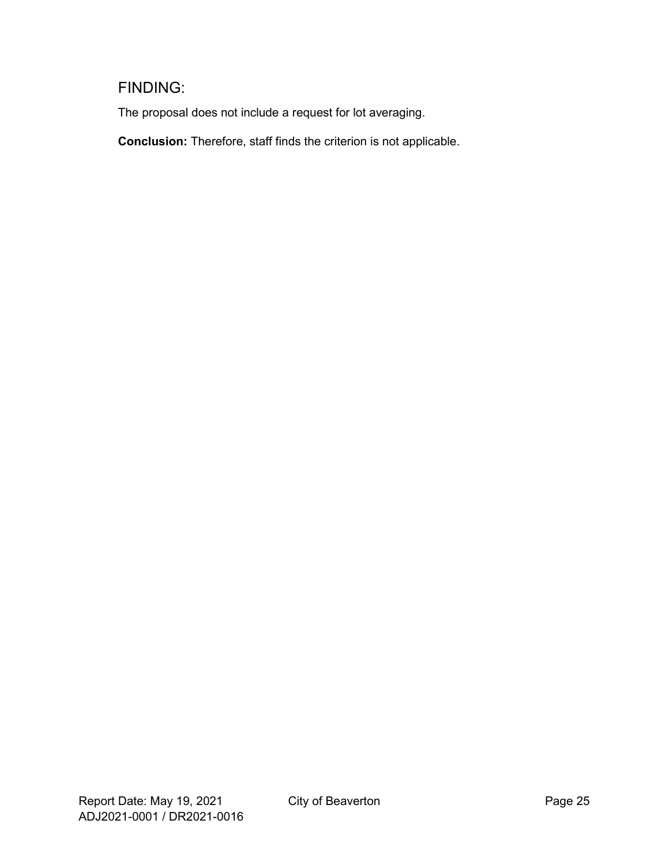## FINDING:

The proposal does not include a request for lot averaging.

**Conclusion:** Therefore, staff finds the criterion is not applicable.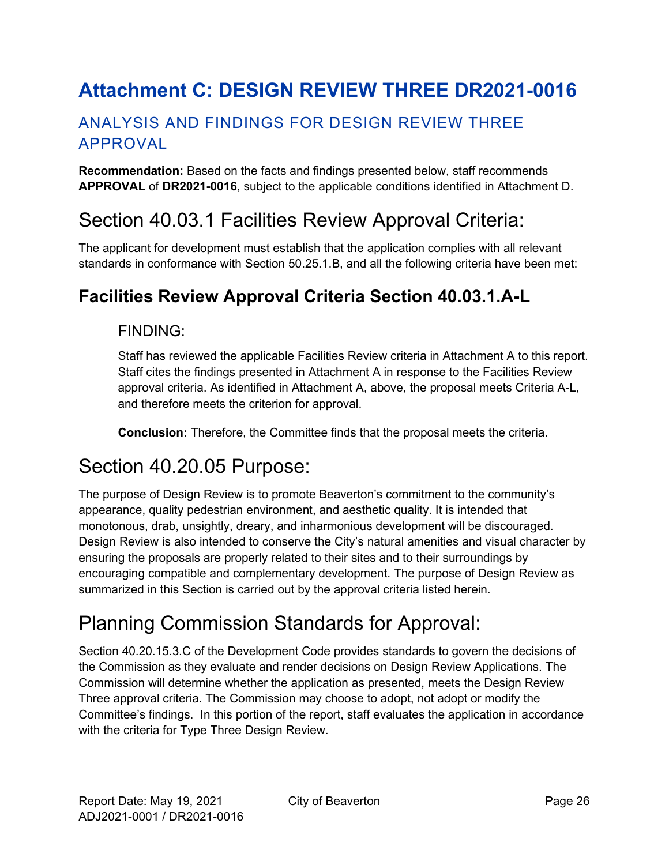# <span id="page-25-0"></span>**Attachment C: DESIGN REVIEW THREE DR2021-0016**

## ANALYSIS AND FINDINGS FOR DESIGN REVIEW THREE APPROVAL

**Recommendation:** Based on the facts and findings presented below, staff recommends **APPROVAL** of **DR2021-0016**, subject to the applicable conditions identified in Attachment D.

# Section 40.03.1 Facilities Review Approval Criteria:

The applicant for development must establish that the application complies with all relevant standards in conformance with Section 50.25.1.B, and all the following criteria have been met:

## **Facilities Review Approval Criteria Section 40.03.1.A-L**

### FINDING:

Staff has reviewed the applicable Facilities Review criteria in Attachment A to this report. Staff cites the findings presented in Attachment A in response to the Facilities Review approval criteria. As identified in Attachment A, above, the proposal meets Criteria A-L, and therefore meets the criterion for approval.

**Conclusion:** Therefore, the Committee finds that the proposal meets the criteria.

# Section 40.20.05 Purpose:

The purpose of Design Review is to promote Beaverton's commitment to the community's appearance, quality pedestrian environment, and aesthetic quality. It is intended that monotonous, drab, unsightly, dreary, and inharmonious development will be discouraged. Design Review is also intended to conserve the City's natural amenities and visual character by ensuring the proposals are properly related to their sites and to their surroundings by encouraging compatible and complementary development. The purpose of Design Review as summarized in this Section is carried out by the approval criteria listed herein.

# Planning Commission Standards for Approval:

Section 40.20.15.3.C of the Development Code provides standards to govern the decisions of the Commission as they evaluate and render decisions on Design Review Applications. The Commission will determine whether the application as presented, meets the Design Review Three approval criteria. The Commission may choose to adopt, not adopt or modify the Committee's findings. In this portion of the report, staff evaluates the application in accordance with the criteria for Type Three Design Review.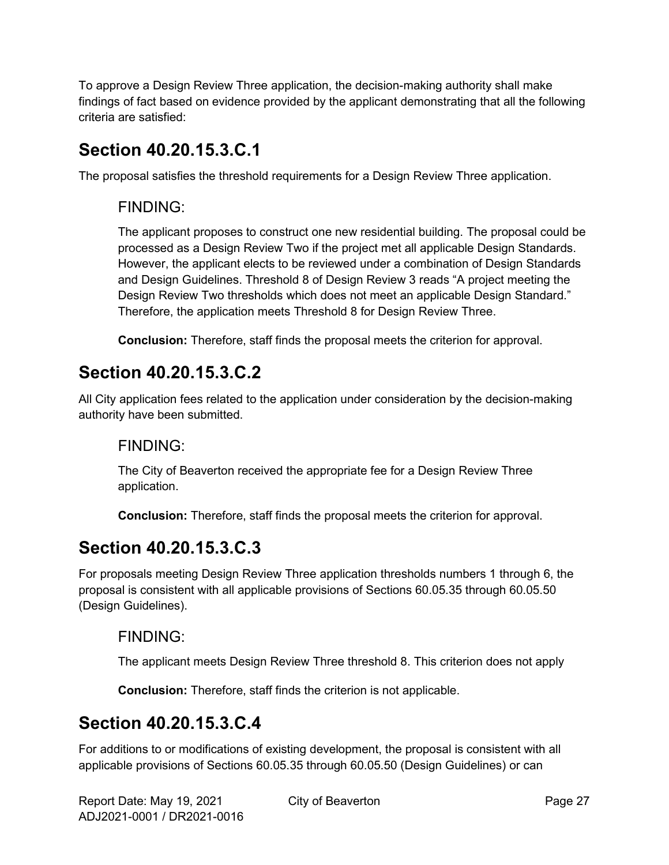To approve a Design Review Three application, the decision-making authority shall make findings of fact based on evidence provided by the applicant demonstrating that all the following criteria are satisfied:

## **Section 40.20.15.3.C.1**

The proposal satisfies the threshold requirements for a Design Review Three application.

### FINDING:

The applicant proposes to construct one new residential building. The proposal could be processed as a Design Review Two if the project met all applicable Design Standards. However, the applicant elects to be reviewed under a combination of Design Standards and Design Guidelines. Threshold 8 of Design Review 3 reads "A project meeting the Design Review Two thresholds which does not meet an applicable Design Standard." Therefore, the application meets Threshold 8 for Design Review Three.

**Conclusion:** Therefore, staff finds the proposal meets the criterion for approval.

## **Section 40.20.15.3.C.2**

All City application fees related to the application under consideration by the decision-making authority have been submitted.

### FINDING:

The City of Beaverton received the appropriate fee for a Design Review Three application.

**Conclusion:** Therefore, staff finds the proposal meets the criterion for approval.

## **Section 40.20.15.3.C.3**

For proposals meeting Design Review Three application thresholds numbers 1 through 6, the proposal is consistent with all applicable provisions of Sections 60.05.35 through 60.05.50 (Design Guidelines).

### FINDING:

The applicant meets Design Review Three threshold 8. This criterion does not apply

**Conclusion:** Therefore, staff finds the criterion is not applicable.

## **Section 40.20.15.3.C.4**

For additions to or modifications of existing development, the proposal is consistent with all applicable provisions of Sections 60.05.35 through 60.05.50 (Design Guidelines) or can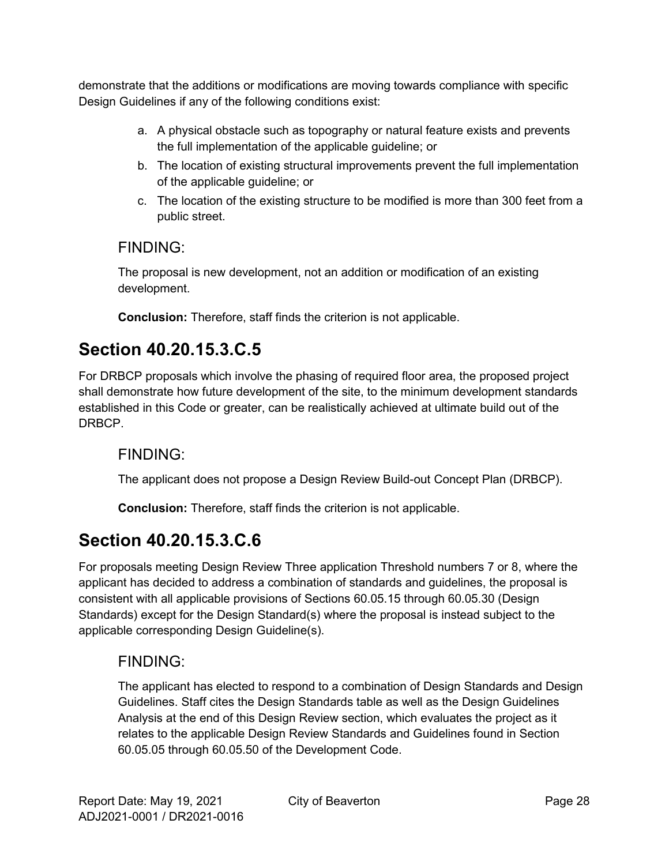demonstrate that the additions or modifications are moving towards compliance with specific Design Guidelines if any of the following conditions exist:

- a. A physical obstacle such as topography or natural feature exists and prevents the full implementation of the applicable guideline; or
- b. The location of existing structural improvements prevent the full implementation of the applicable guideline; or
- c. The location of the existing structure to be modified is more than 300 feet from a public street.

## FINDING:

The proposal is new development, not an addition or modification of an existing development.

**Conclusion:** Therefore, staff finds the criterion is not applicable.

## **Section 40.20.15.3.C.5**

For DRBCP proposals which involve the phasing of required floor area, the proposed project shall demonstrate how future development of the site, to the minimum development standards established in this Code or greater, can be realistically achieved at ultimate build out of the DRBCP.

### FINDING:

The applicant does not propose a Design Review Build-out Concept Plan (DRBCP).

**Conclusion:** Therefore, staff finds the criterion is not applicable.

# **Section 40.20.15.3.C.6**

For proposals meeting Design Review Three application Threshold numbers 7 or 8, where the applicant has decided to address a combination of standards and guidelines, the proposal is consistent with all applicable provisions of Sections 60.05.15 through 60.05.30 (Design Standards) except for the Design Standard(s) where the proposal is instead subject to the applicable corresponding Design Guideline(s).

### FINDING:

The applicant has elected to respond to a combination of Design Standards and Design Guidelines. Staff cites the Design Standards table as well as the Design Guidelines Analysis at the end of this Design Review section, which evaluates the project as it relates to the applicable Design Review Standards and Guidelines found in Section 60.05.05 through 60.05.50 of the Development Code.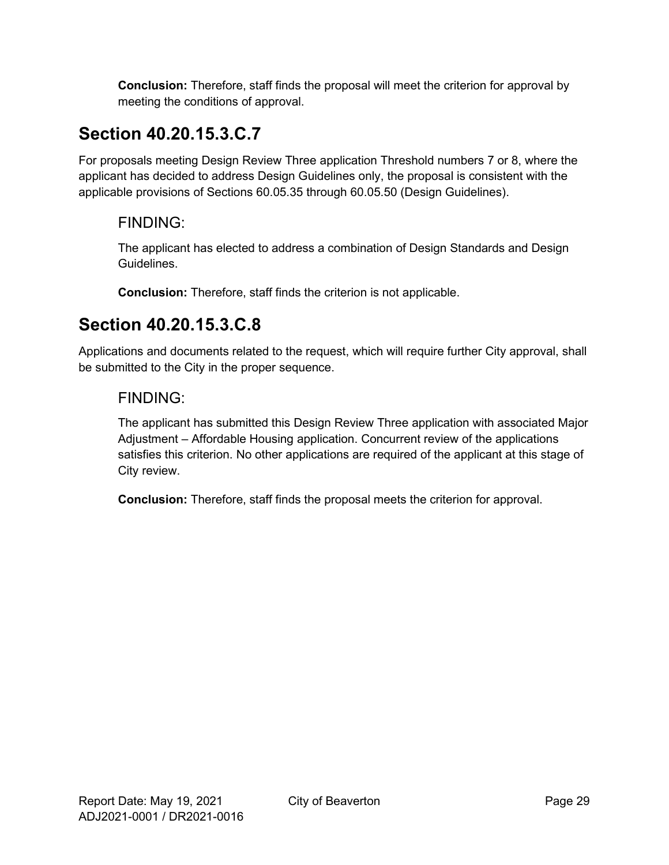**Conclusion:** Therefore, staff finds the proposal will meet the criterion for approval by meeting the conditions of approval.

# **Section 40.20.15.3.C.7**

For proposals meeting Design Review Three application Threshold numbers 7 or 8, where the applicant has decided to address Design Guidelines only, the proposal is consistent with the applicable provisions of Sections 60.05.35 through 60.05.50 (Design Guidelines).

## FINDING:

The applicant has elected to address a combination of Design Standards and Design Guidelines.

**Conclusion:** Therefore, staff finds the criterion is not applicable.

## **Section 40.20.15.3.C.8**

Applications and documents related to the request, which will require further City approval, shall be submitted to the City in the proper sequence.

### FINDING:

The applicant has submitted this Design Review Three application with associated Major Adjustment – Affordable Housing application. Concurrent review of the applications satisfies this criterion. No other applications are required of the applicant at this stage of City review.

**Conclusion:** Therefore, staff finds the proposal meets the criterion for approval.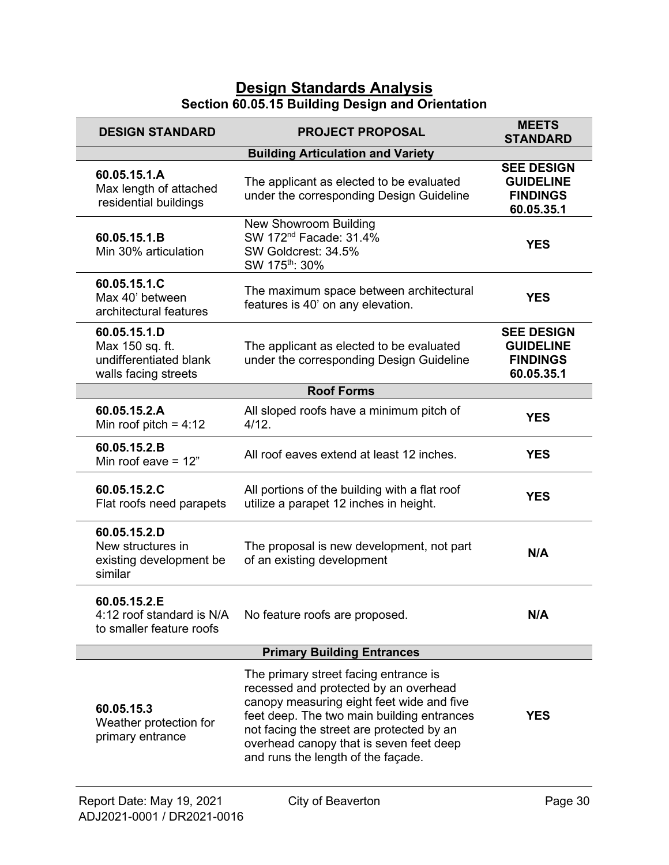### **Design Standards Analysis Section 60.05.15 Building Design and Orientation**

| <b>DESIGN STANDARD</b>                                                            | <b>PROJECT PROPOSAL</b>                                                                                                                                                                                                                                                                                 | <b>MEETS</b><br><b>STANDARD</b>                                        |
|-----------------------------------------------------------------------------------|---------------------------------------------------------------------------------------------------------------------------------------------------------------------------------------------------------------------------------------------------------------------------------------------------------|------------------------------------------------------------------------|
|                                                                                   | <b>Building Articulation and Variety</b>                                                                                                                                                                                                                                                                |                                                                        |
| 60.05.15.1.A<br>Max length of attached<br>residential buildings                   | The applicant as elected to be evaluated<br>under the corresponding Design Guideline                                                                                                                                                                                                                    | <b>SEE DESIGN</b><br><b>GUIDELINE</b><br><b>FINDINGS</b><br>60.05.35.1 |
| 60.05.15.1.B<br>Min 30% articulation                                              | New Showroom Building<br>SW 172 <sup>nd</sup> Facade: 31.4%<br>SW Goldcrest: 34.5%<br>SW 175 <sup>th</sup> : 30%                                                                                                                                                                                        | <b>YES</b>                                                             |
| 60.05.15.1.C<br>Max 40' between<br>architectural features                         | The maximum space between architectural<br>features is 40' on any elevation.                                                                                                                                                                                                                            | <b>YES</b>                                                             |
| 60.05.15.1.D<br>Max 150 sq. ft.<br>undifferentiated blank<br>walls facing streets | The applicant as elected to be evaluated<br>under the corresponding Design Guideline                                                                                                                                                                                                                    | <b>SEE DESIGN</b><br><b>GUIDELINE</b><br><b>FINDINGS</b><br>60.05.35.1 |
|                                                                                   | <b>Roof Forms</b>                                                                                                                                                                                                                                                                                       |                                                                        |
| 60.05.15.2.A<br>Min roof pitch = $4:12$                                           | All sloped roofs have a minimum pitch of<br>4/12.                                                                                                                                                                                                                                                       | <b>YES</b>                                                             |
| 60.05.15.2.B<br>Min roof eave $= 12$ "                                            | All roof eaves extend at least 12 inches.                                                                                                                                                                                                                                                               | <b>YES</b>                                                             |
| 60.05.15.2.C<br>Flat roofs need parapets                                          | All portions of the building with a flat roof<br>utilize a parapet 12 inches in height.                                                                                                                                                                                                                 | <b>YES</b>                                                             |
| 60.05.15.2.D<br>New structures in<br>existing development be<br>similar           | The proposal is new development, not part<br>of an existing development                                                                                                                                                                                                                                 | N/A                                                                    |
| 60.05.15.2.E<br>4:12 roof standard is N/A<br>to smaller feature roofs             | No feature roofs are proposed.                                                                                                                                                                                                                                                                          | N/A                                                                    |
|                                                                                   | <b>Primary Building Entrances</b>                                                                                                                                                                                                                                                                       |                                                                        |
| 60.05.15.3<br>Weather protection for<br>primary entrance                          | The primary street facing entrance is<br>recessed and protected by an overhead<br>canopy measuring eight feet wide and five<br>feet deep. The two main building entrances<br>not facing the street are protected by an<br>overhead canopy that is seven feet deep<br>and runs the length of the façade. | <b>YES</b>                                                             |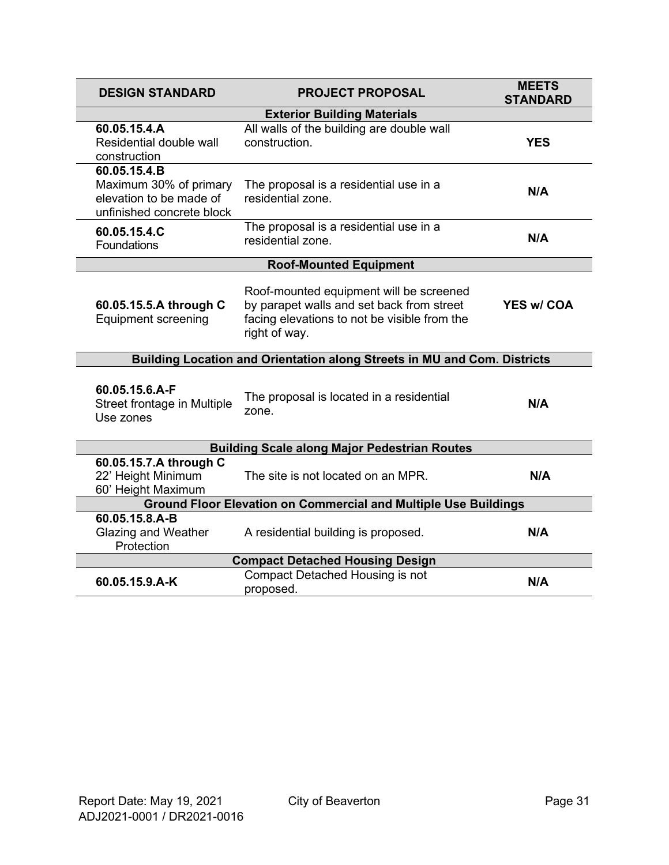| <b>DESIGN STANDARD</b>                                                                         | <b>PROJECT PROPOSAL</b>                                                                                                                               | <b>MEETS</b><br><b>STANDARD</b> |  |
|------------------------------------------------------------------------------------------------|-------------------------------------------------------------------------------------------------------------------------------------------------------|---------------------------------|--|
|                                                                                                | <b>Exterior Building Materials</b>                                                                                                                    |                                 |  |
| 60.05.15.4.A<br>Residential double wall<br>construction                                        | All walls of the building are double wall<br>construction.                                                                                            | <b>YES</b>                      |  |
| 60.05.15.4.B<br>Maximum 30% of primary<br>elevation to be made of<br>unfinished concrete block | The proposal is a residential use in a<br>residential zone.                                                                                           | N/A                             |  |
| 60.05.15.4.C<br>Foundations                                                                    | The proposal is a residential use in a<br>residential zone.                                                                                           | N/A                             |  |
|                                                                                                | <b>Roof-Mounted Equipment</b>                                                                                                                         |                                 |  |
| 60.05.15.5.A through C<br><b>Equipment screening</b>                                           | Roof-mounted equipment will be screened<br>by parapet walls and set back from street<br>facing elevations to not be visible from the<br>right of way. | <b>YES w/ COA</b>               |  |
| Building Location and Orientation along Streets in MU and Com. Districts                       |                                                                                                                                                       |                                 |  |
| 60.05.15.6.A-F<br>Street frontage in Multiple<br>Use zones                                     | The proposal is located in a residential<br>zone.                                                                                                     | N/A                             |  |
|                                                                                                | <b>Building Scale along Major Pedestrian Routes</b>                                                                                                   |                                 |  |
| 60.05.15.7.A through C<br>22' Height Minimum<br>60' Height Maximum                             | The site is not located on an MPR.                                                                                                                    | N/A                             |  |
| <b>Ground Floor Elevation on Commercial and Multiple Use Buildings</b>                         |                                                                                                                                                       |                                 |  |
| 60.05.15.8.A-B<br><b>Glazing and Weather</b><br>Protection                                     | A residential building is proposed.                                                                                                                   | N/A                             |  |
| <b>Compact Detached Housing Design</b>                                                         |                                                                                                                                                       |                                 |  |
| 60.05.15.9.A-K                                                                                 | Compact Detached Housing is not<br>proposed.                                                                                                          | N/A                             |  |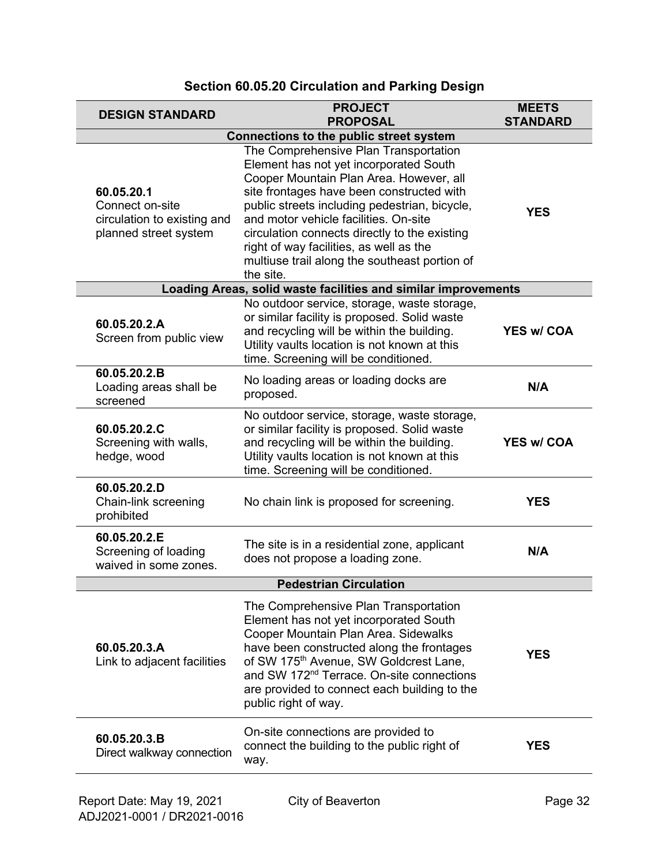| <b>DESIGN STANDARD</b>                                                                | <b>PROJECT</b><br><b>PROPOSAL</b>                                                                                                                                                                                                                                                                                                                                                                                           | <b>MEETS</b><br><b>STANDARD</b> |
|---------------------------------------------------------------------------------------|-----------------------------------------------------------------------------------------------------------------------------------------------------------------------------------------------------------------------------------------------------------------------------------------------------------------------------------------------------------------------------------------------------------------------------|---------------------------------|
| <b>Connections to the public street system</b>                                        |                                                                                                                                                                                                                                                                                                                                                                                                                             |                                 |
| 60.05.20.1<br>Connect on-site<br>circulation to existing and<br>planned street system | The Comprehensive Plan Transportation<br>Element has not yet incorporated South<br>Cooper Mountain Plan Area. However, all<br>site frontages have been constructed with<br>public streets including pedestrian, bicycle,<br>and motor vehicle facilities. On-site<br>circulation connects directly to the existing<br>right of way facilities, as well as the<br>multiuse trail along the southeast portion of<br>the site. | <b>YES</b>                      |
|                                                                                       | Loading Areas, solid waste facilities and similar improvements                                                                                                                                                                                                                                                                                                                                                              |                                 |
| 60.05.20.2.A<br>Screen from public view                                               | No outdoor service, storage, waste storage,<br>or similar facility is proposed. Solid waste<br>and recycling will be within the building.<br>Utility vaults location is not known at this<br>time. Screening will be conditioned.                                                                                                                                                                                           | <b>YES w/ COA</b>               |
| 60.05.20.2.B<br>Loading areas shall be<br>screened                                    | No loading areas or loading docks are<br>proposed.                                                                                                                                                                                                                                                                                                                                                                          | N/A                             |
| 60.05.20.2.C<br>Screening with walls,<br>hedge, wood                                  | No outdoor service, storage, waste storage,<br>or similar facility is proposed. Solid waste<br>and recycling will be within the building.<br>Utility vaults location is not known at this<br>time. Screening will be conditioned.                                                                                                                                                                                           | <b>YES w/ COA</b>               |
| 60.05.20.2.D<br>Chain-link screening<br>prohibited                                    | No chain link is proposed for screening.                                                                                                                                                                                                                                                                                                                                                                                    | <b>YES</b>                      |
| 60.05.20.2.E<br>Screening of loading<br>waived in some zones.                         | The site is in a residential zone, applicant<br>does not propose a loading zone.                                                                                                                                                                                                                                                                                                                                            | N/A                             |
| <b>Pedestrian Circulation</b>                                                         |                                                                                                                                                                                                                                                                                                                                                                                                                             |                                 |
| 60.05.20.3.A<br>Link to adjacent facilities                                           | The Comprehensive Plan Transportation<br>Element has not yet incorporated South<br>Cooper Mountain Plan Area. Sidewalks<br>have been constructed along the frontages<br>of SW 175 <sup>th</sup> Avenue, SW Goldcrest Lane,<br>and SW 172 <sup>nd</sup> Terrace. On-site connections<br>are provided to connect each building to the<br>public right of way.                                                                 | <b>YES</b>                      |
| 60.05.20.3.B<br>Direct walkway connection                                             | On-site connections are provided to<br>connect the building to the public right of<br>way.                                                                                                                                                                                                                                                                                                                                  | <b>YES</b>                      |

### **Section 60.05.20 Circulation and Parking Design**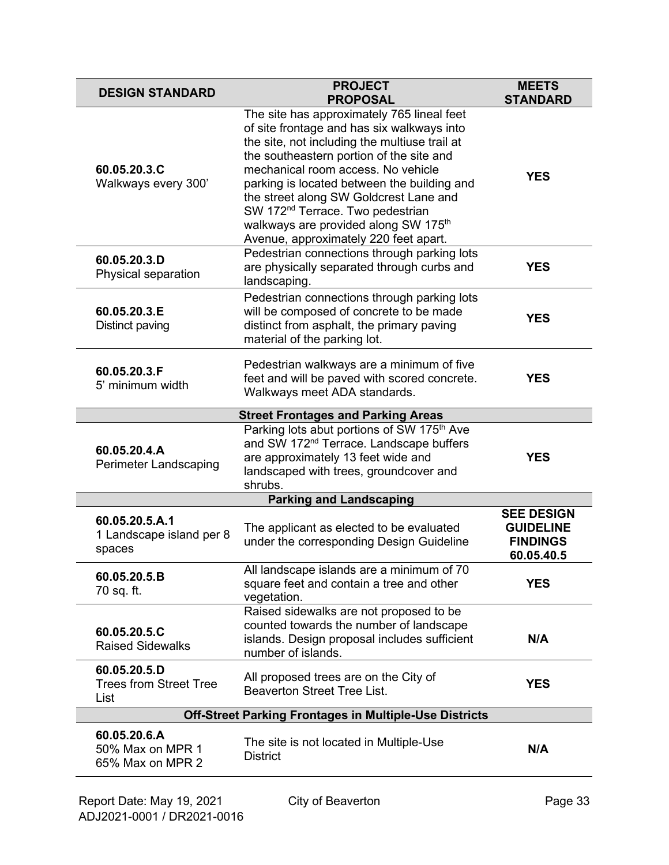| <b>DESIGN STANDARD</b>                                        | <b>PROJECT</b><br><b>PROPOSAL</b>                                                                                                                                                                                                                                                                                                                                                                                                                                 | <b>MEETS</b><br><b>STANDARD</b>                                        |
|---------------------------------------------------------------|-------------------------------------------------------------------------------------------------------------------------------------------------------------------------------------------------------------------------------------------------------------------------------------------------------------------------------------------------------------------------------------------------------------------------------------------------------------------|------------------------------------------------------------------------|
| 60.05.20.3.C<br>Walkways every 300'                           | The site has approximately 765 lineal feet<br>of site frontage and has six walkways into<br>the site, not including the multiuse trail at<br>the southeastern portion of the site and<br>mechanical room access. No vehicle<br>parking is located between the building and<br>the street along SW Goldcrest Lane and<br>SW 172 <sup>nd</sup> Terrace. Two pedestrian<br>walkways are provided along SW 175 <sup>th</sup><br>Avenue, approximately 220 feet apart. | <b>YES</b>                                                             |
| 60.05.20.3.D<br>Physical separation                           | Pedestrian connections through parking lots<br>are physically separated through curbs and<br>landscaping.                                                                                                                                                                                                                                                                                                                                                         | <b>YES</b>                                                             |
| 60.05.20.3.E<br>Distinct paving                               | Pedestrian connections through parking lots<br>will be composed of concrete to be made<br>distinct from asphalt, the primary paving<br>material of the parking lot.                                                                                                                                                                                                                                                                                               | <b>YES</b>                                                             |
| 60.05.20.3.F<br>5' minimum width                              | Pedestrian walkways are a minimum of five<br>feet and will be paved with scored concrete.<br>Walkways meet ADA standards.                                                                                                                                                                                                                                                                                                                                         | <b>YES</b>                                                             |
|                                                               | <b>Street Frontages and Parking Areas</b>                                                                                                                                                                                                                                                                                                                                                                                                                         |                                                                        |
| 60.05.20.4.A<br>Perimeter Landscaping                         | Parking lots abut portions of SW 175 <sup>th</sup> Ave<br>and SW 172 <sup>nd</sup> Terrace. Landscape buffers<br>are approximately 13 feet wide and<br>landscaped with trees, groundcover and<br>shrubs.                                                                                                                                                                                                                                                          | <b>YES</b>                                                             |
|                                                               | <b>Parking and Landscaping</b>                                                                                                                                                                                                                                                                                                                                                                                                                                    |                                                                        |
| 60.05.20.5.A.1<br>1 Landscape island per 8<br>spaces          | The applicant as elected to be evaluated<br>under the corresponding Design Guideline                                                                                                                                                                                                                                                                                                                                                                              | <b>SEE DESIGN</b><br><b>GUIDELINE</b><br><b>FINDINGS</b><br>60.05.40.5 |
| 60.05.20.5.B<br>70 sq. ft.                                    | All landscape islands are a minimum of 70<br>square feet and contain a tree and other<br>vegetation.                                                                                                                                                                                                                                                                                                                                                              | <b>YES</b>                                                             |
| 60.05.20.5.C<br><b>Raised Sidewalks</b>                       | Raised sidewalks are not proposed to be<br>counted towards the number of landscape<br>islands. Design proposal includes sufficient<br>number of islands.                                                                                                                                                                                                                                                                                                          | N/A                                                                    |
| 60.05.20.5.D<br><b>Trees from Street Tree</b><br>List         | All proposed trees are on the City of<br><b>Beaverton Street Tree List.</b>                                                                                                                                                                                                                                                                                                                                                                                       | <b>YES</b>                                                             |
| <b>Off-Street Parking Frontages in Multiple-Use Districts</b> |                                                                                                                                                                                                                                                                                                                                                                                                                                                                   |                                                                        |
| 60.05.20.6.A<br>50% Max on MPR 1<br>65% Max on MPR 2          | The site is not located in Multiple-Use<br><b>District</b>                                                                                                                                                                                                                                                                                                                                                                                                        | N/A                                                                    |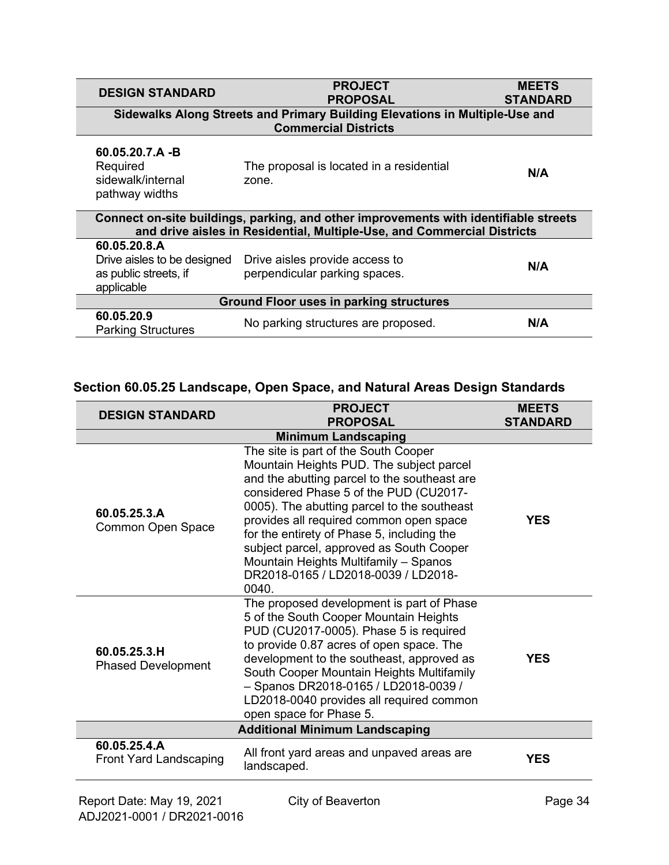| <b>DESIGN STANDARD</b>                                                                                                                                          | <b>PROJECT</b><br><b>PROPOSAL</b>                                           | <b>MEETS</b><br><b>STANDARD</b> |
|-----------------------------------------------------------------------------------------------------------------------------------------------------------------|-----------------------------------------------------------------------------|---------------------------------|
|                                                                                                                                                                 | Sidewalks Along Streets and Primary Building Elevations in Multiple-Use and |                                 |
|                                                                                                                                                                 | <b>Commercial Districts</b>                                                 |                                 |
| $60.05.20.7.A - B$                                                                                                                                              |                                                                             |                                 |
| Required                                                                                                                                                        | The proposal is located in a residential                                    | N/A                             |
| sidewalk/internal                                                                                                                                               | zone.                                                                       |                                 |
| pathway widths                                                                                                                                                  |                                                                             |                                 |
| Connect on-site buildings, parking, and other improvements with identifiable streets<br>and drive aisles in Residential, Multiple-Use, and Commercial Districts |                                                                             |                                 |
| 60.05.20.8.A                                                                                                                                                    |                                                                             |                                 |
| Drive aisles to be designed                                                                                                                                     | Drive aisles provide access to                                              | N/A                             |
| as public streets, if                                                                                                                                           | perpendicular parking spaces.                                               |                                 |
| applicable                                                                                                                                                      |                                                                             |                                 |
| <b>Ground Floor uses in parking structures</b>                                                                                                                  |                                                                             |                                 |
| 60.05.20.9                                                                                                                                                      | No parking structures are proposed.                                         | N/A                             |
| <b>Parking Structures</b>                                                                                                                                       |                                                                             |                                 |

### **Section 60.05.25 Landscape, Open Space, and Natural Areas Design Standards**

| <b>DESIGN STANDARD</b>                        | <b>PROJECT</b><br><b>PROPOSAL</b>                                                                                                                                                                                                                                                                                                                                                                                                                       | <b>MEETS</b><br><b>STANDARD</b> |
|-----------------------------------------------|---------------------------------------------------------------------------------------------------------------------------------------------------------------------------------------------------------------------------------------------------------------------------------------------------------------------------------------------------------------------------------------------------------------------------------------------------------|---------------------------------|
|                                               | <b>Minimum Landscaping</b>                                                                                                                                                                                                                                                                                                                                                                                                                              |                                 |
| 60.05.25.3.A<br>Common Open Space             | The site is part of the South Cooper<br>Mountain Heights PUD. The subject parcel<br>and the abutting parcel to the southeast are<br>considered Phase 5 of the PUD (CU2017-<br>0005). The abutting parcel to the southeast<br>provides all required common open space<br>for the entirety of Phase 5, including the<br>subject parcel, approved as South Cooper<br>Mountain Heights Multifamily - Spanos<br>DR2018-0165 / LD2018-0039 / LD2018-<br>0040. | YES                             |
| 60.05.25.3.H<br><b>Phased Development</b>     | The proposed development is part of Phase<br>5 of the South Cooper Mountain Heights<br>PUD (CU2017-0005). Phase 5 is required<br>to provide 0.87 acres of open space. The<br>development to the southeast, approved as<br>South Cooper Mountain Heights Multifamily<br>- Spanos DR2018-0165 / LD2018-0039 /<br>LD2018-0040 provides all required common<br>open space for Phase 5.                                                                      | <b>YES</b>                      |
| <b>Additional Minimum Landscaping</b>         |                                                                                                                                                                                                                                                                                                                                                                                                                                                         |                                 |
| 60.05.25.4.A<br><b>Front Yard Landscaping</b> | All front yard areas and unpaved areas are<br>landscaped.                                                                                                                                                                                                                                                                                                                                                                                               | YES                             |
|                                               |                                                                                                                                                                                                                                                                                                                                                                                                                                                         |                                 |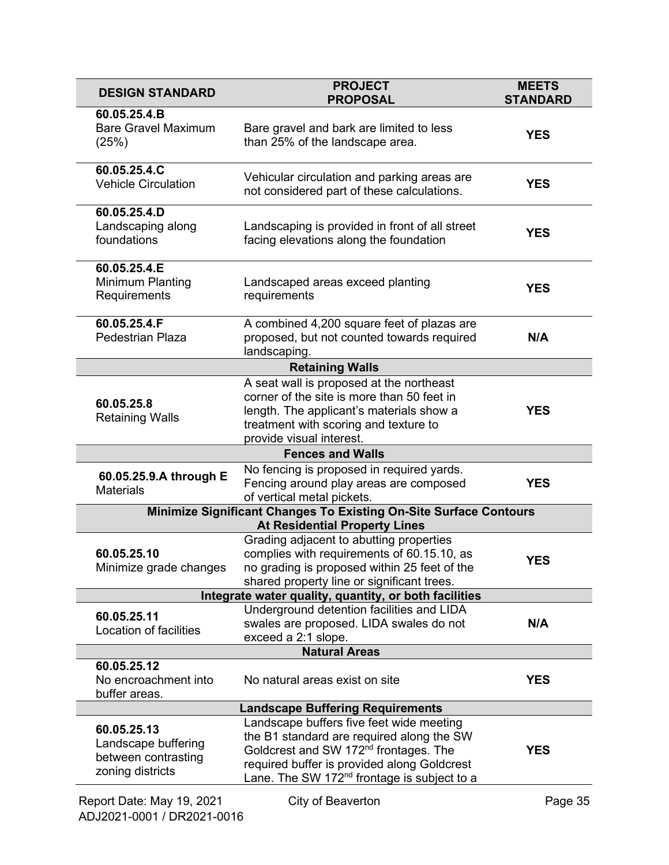| <b>DESIGN STANDARD</b>                                                                                    | <b>PROJECT</b><br><b>PROPOSAL</b>                                                                                                                                                                                                                    | <b>MEETS</b><br><b>STANDARD</b> |
|-----------------------------------------------------------------------------------------------------------|------------------------------------------------------------------------------------------------------------------------------------------------------------------------------------------------------------------------------------------------------|---------------------------------|
| 60.05.25.4.B<br><b>Bare Gravel Maximum</b><br>(25%)                                                       | Bare gravel and bark are limited to less<br>than 25% of the landscape area.                                                                                                                                                                          | <b>YES</b>                      |
| 60.05.25.4.C<br><b>Vehicle Circulation</b>                                                                | Vehicular circulation and parking areas are<br>not considered part of these calculations.                                                                                                                                                            | <b>YES</b>                      |
| 60.05.25.4.D<br>Landscaping along<br>foundations                                                          | Landscaping is provided in front of all street<br>facing elevations along the foundation                                                                                                                                                             | <b>YES</b>                      |
| 60.05.25.4.E<br>Minimum Planting<br>Requirements                                                          | Landscaped areas exceed planting<br>requirements                                                                                                                                                                                                     | <b>YES</b>                      |
| 60.05.25.4.F<br>Pedestrian Plaza                                                                          | A combined 4,200 square feet of plazas are<br>proposed, but not counted towards required<br>landscaping.                                                                                                                                             | N/A                             |
|                                                                                                           | <b>Retaining Walls</b>                                                                                                                                                                                                                               |                                 |
| 60.05.25.8<br><b>Retaining Walls</b>                                                                      | A seat wall is proposed at the northeast<br>corner of the site is more than 50 feet in<br>length. The applicant's materials show a<br>treatment with scoring and texture to<br>provide visual interest.                                              | <b>YES</b>                      |
|                                                                                                           | <b>Fences and Walls</b>                                                                                                                                                                                                                              |                                 |
| 60.05.25.9.A through E<br><b>Materials</b>                                                                | No fencing is proposed in required yards.<br>Fencing around play areas are composed<br>of vertical metal pickets.                                                                                                                                    | <b>YES</b>                      |
| Minimize Significant Changes To Existing On-Site Surface Contours<br><b>At Residential Property Lines</b> |                                                                                                                                                                                                                                                      |                                 |
| 60.05.25.10<br>Minimize grade changes                                                                     | Grading adjacent to abutting properties<br>complies with requirements of 60.15.10, as<br>no grading is proposed within 25 feet of the<br>shared property line or significant trees.                                                                  | <b>YES</b>                      |
| Integrate water quality, quantity, or both facilities                                                     |                                                                                                                                                                                                                                                      |                                 |
| 60.05.25.11<br>Location of facilities                                                                     | Underground detention facilities and LIDA<br>swales are proposed. LIDA swales do not<br>exceed a 2:1 slope.                                                                                                                                          | N/A                             |
|                                                                                                           | <b>Natural Areas</b>                                                                                                                                                                                                                                 |                                 |
| 60.05.25.12<br>No encroachment into<br>buffer areas.                                                      | No natural areas exist on site                                                                                                                                                                                                                       | <b>YES</b>                      |
| <b>Landscape Buffering Requirements</b>                                                                   |                                                                                                                                                                                                                                                      |                                 |
| 60.05.25.13<br>Landscape buffering<br>between contrasting<br>zoning districts                             | Landscape buffers five feet wide meeting<br>the B1 standard are required along the SW<br>Goldcrest and SW 172 <sup>nd</sup> frontages. The<br>required buffer is provided along Goldcrest<br>Lane. The SW 172 <sup>nd</sup> frontage is subject to a | <b>YES</b>                      |
| Report Date: May 19, 2021                                                                                 | City of Beaverton                                                                                                                                                                                                                                    | Page 35                         |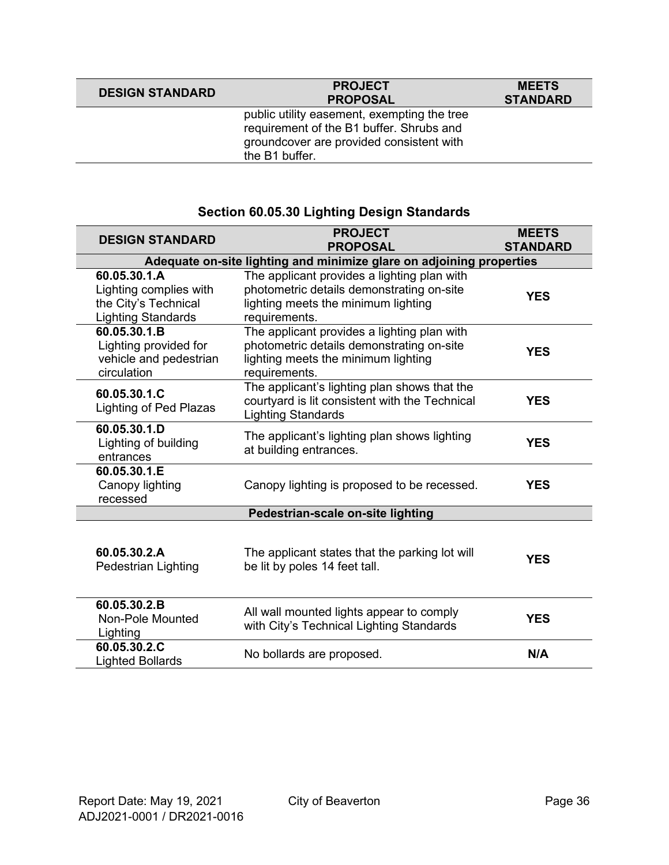| <b>DESIGN STANDARD</b> | <b>PROJECT</b><br><b>PROPOSAL</b>                                                                                                                     | <b>MEETS</b><br><b>STANDARD</b> |
|------------------------|-------------------------------------------------------------------------------------------------------------------------------------------------------|---------------------------------|
|                        | public utility easement, exempting the tree<br>requirement of the B1 buffer. Shrubs and<br>groundcover are provided consistent with<br>the B1 buffer. |                                 |

### **Section 60.05.30 Lighting Design Standards**

| <b>DESIGN STANDARD</b>                                                                      | <b>PROJECT</b><br><b>PROPOSAL</b>                                                                                                                | <b>MEETS</b><br><b>STANDARD</b> |
|---------------------------------------------------------------------------------------------|--------------------------------------------------------------------------------------------------------------------------------------------------|---------------------------------|
|                                                                                             | Adequate on-site lighting and minimize glare on adjoining properties                                                                             |                                 |
| 60.05.30.1.A<br>Lighting complies with<br>the City's Technical<br><b>Lighting Standards</b> | The applicant provides a lighting plan with<br>photometric details demonstrating on-site<br>lighting meets the minimum lighting<br>requirements. | <b>YES</b>                      |
| 60.05.30.1.B<br>Lighting provided for<br>vehicle and pedestrian<br>circulation              | The applicant provides a lighting plan with<br>photometric details demonstrating on-site<br>lighting meets the minimum lighting<br>requirements. | <b>YES</b>                      |
| 60.05.30.1.C<br>Lighting of Ped Plazas                                                      | The applicant's lighting plan shows that the<br>courtyard is lit consistent with the Technical<br><b>Lighting Standards</b>                      | <b>YES</b>                      |
| 60.05.30.1.D<br>Lighting of building<br>entrances                                           | The applicant's lighting plan shows lighting<br>at building entrances.                                                                           | <b>YES</b>                      |
| 60.05.30.1.E<br>Canopy lighting<br>recessed                                                 | Canopy lighting is proposed to be recessed.                                                                                                      | <b>YES</b>                      |
|                                                                                             | Pedestrian-scale on-site lighting                                                                                                                |                                 |
| 60.05.30.2.A<br>Pedestrian Lighting                                                         | The applicant states that the parking lot will<br>be lit by poles 14 feet tall.                                                                  | <b>YES</b>                      |
| 60.05.30.2.B<br><b>Non-Pole Mounted</b><br>Lighting                                         | All wall mounted lights appear to comply<br>with City's Technical Lighting Standards                                                             | <b>YES</b>                      |
| 60.05.30.2.C<br><b>Lighted Bollards</b>                                                     | No bollards are proposed.                                                                                                                        | N/A                             |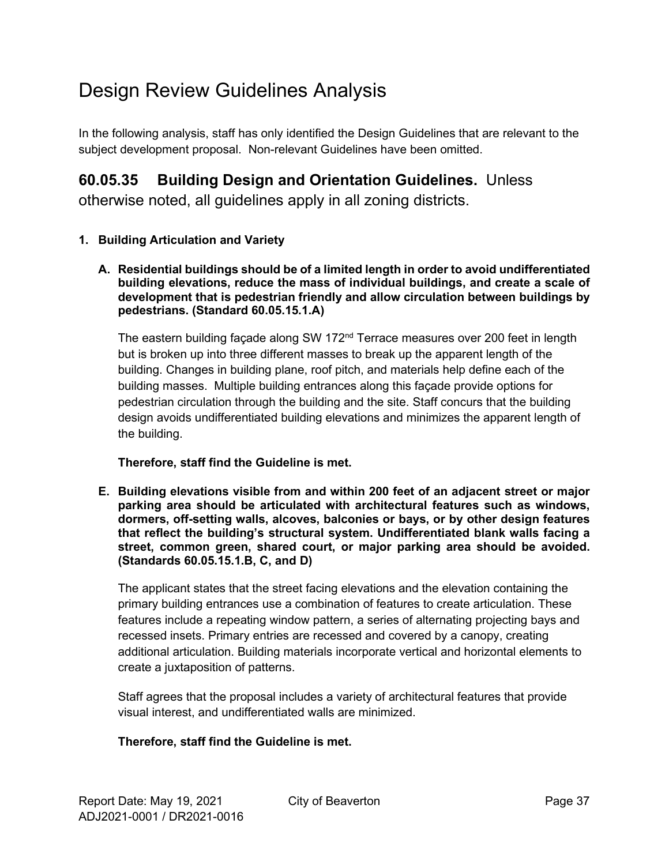# Design Review Guidelines Analysis

In the following analysis, staff has only identified the Design Guidelines that are relevant to the subject development proposal. Non-relevant Guidelines have been omitted.

### **60.05.35 Building Design and Orientation Guidelines.** Unless

otherwise noted, all guidelines apply in all zoning districts.

### **1. Building Articulation and Variety**

**A. Residential buildings should be of a limited length in order to avoid undifferentiated building elevations, reduce the mass of individual buildings, and create a scale of development that is pedestrian friendly and allow circulation between buildings by pedestrians. (Standard 60.05.15.1.A)**

The eastern building façade along SW 172 $<sup>nd</sup>$  Terrace measures over 200 feet in length</sup> but is broken up into three different masses to break up the apparent length of the building. Changes in building plane, roof pitch, and materials help define each of the building masses. Multiple building entrances along this façade provide options for pedestrian circulation through the building and the site. Staff concurs that the building design avoids undifferentiated building elevations and minimizes the apparent length of the building.

#### **Therefore, staff find the Guideline is met.**

**E. Building elevations visible from and within 200 feet of an adjacent street or major parking area should be articulated with architectural features such as windows, dormers, off-setting walls, alcoves, balconies or bays, or by other design features that reflect the building's structural system. Undifferentiated blank walls facing a street, common green, shared court, or major parking area should be avoided. (Standards 60.05.15.1.B, C, and D)**

The applicant states that the street facing elevations and the elevation containing the primary building entrances use a combination of features to create articulation. These features include a repeating window pattern, a series of alternating projecting bays and recessed insets. Primary entries are recessed and covered by a canopy, creating additional articulation. Building materials incorporate vertical and horizontal elements to create a juxtaposition of patterns.

Staff agrees that the proposal includes a variety of architectural features that provide visual interest, and undifferentiated walls are minimized.

#### **Therefore, staff find the Guideline is met.**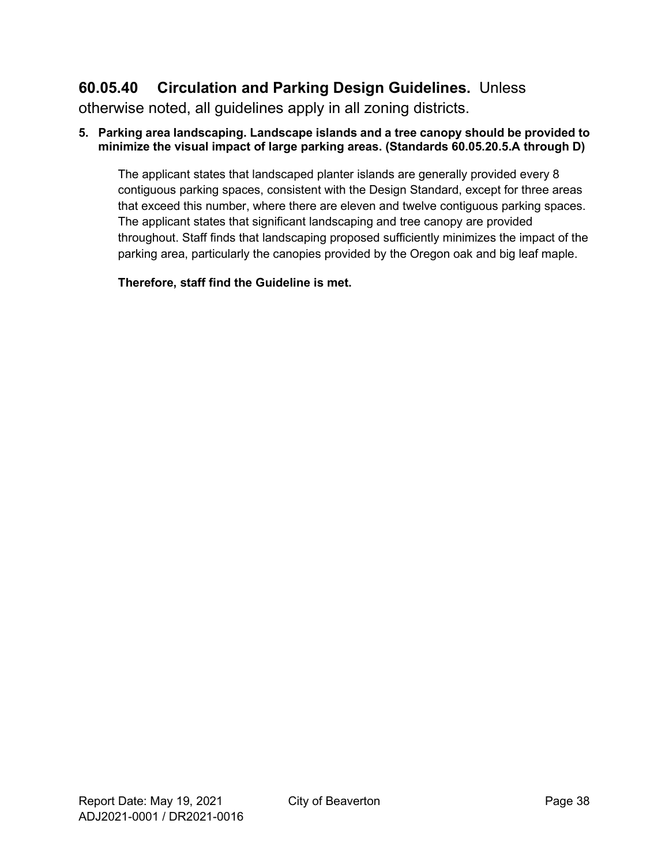### **60.05.40 Circulation and Parking Design Guidelines.** Unless

otherwise noted, all guidelines apply in all zoning districts.

#### **5. Parking area landscaping. Landscape islands and a tree canopy should be provided to minimize the visual impact of large parking areas. (Standards 60.05.20.5.A through D)**

The applicant states that landscaped planter islands are generally provided every 8 contiguous parking spaces, consistent with the Design Standard, except for three areas that exceed this number, where there are eleven and twelve contiguous parking spaces. The applicant states that significant landscaping and tree canopy are provided throughout. Staff finds that landscaping proposed sufficiently minimizes the impact of the parking area, particularly the canopies provided by the Oregon oak and big leaf maple.

**Therefore, staff find the Guideline is met.**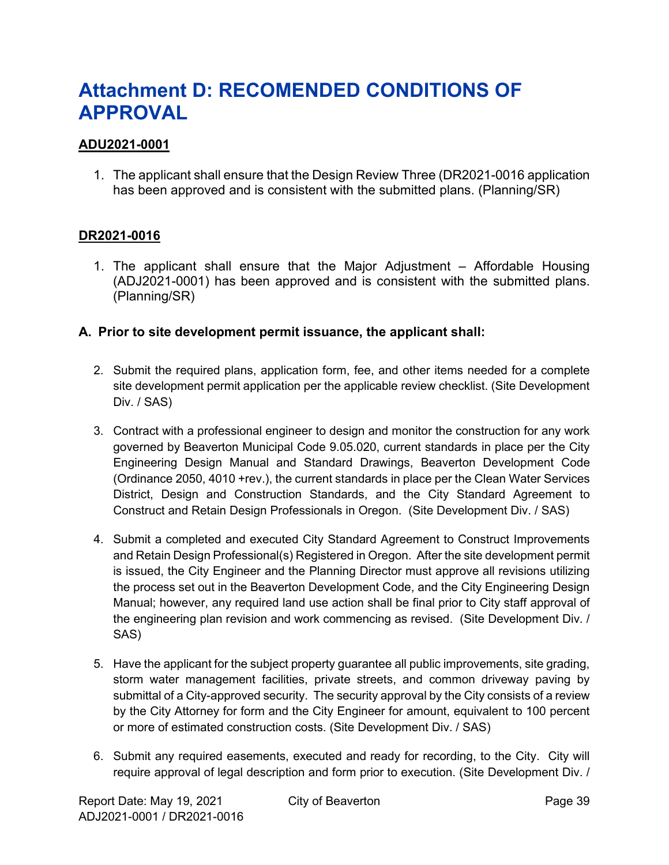# <span id="page-38-0"></span>**Attachment D: RECOMENDED CONDITIONS OF APPROVAL**

### **ADU2021-0001**

1. The applicant shall ensure that the Design Review Three (DR2021-0016 application has been approved and is consistent with the submitted plans. (Planning/SR)

#### **DR2021-0016**

1. The applicant shall ensure that the Major Adjustment – Affordable Housing (ADJ2021-0001) has been approved and is consistent with the submitted plans. (Planning/SR)

#### **A. Prior to site development permit issuance, the applicant shall:**

- 2. Submit the required plans, application form, fee, and other items needed for a complete site development permit application per the applicable review checklist. (Site Development Div. / SAS)
- 3. Contract with a professional engineer to design and monitor the construction for any work governed by Beaverton Municipal Code 9.05.020, current standards in place per the City Engineering Design Manual and Standard Drawings, Beaverton Development Code (Ordinance 2050, 4010 +rev.), the current standards in place per the Clean Water Services District, Design and Construction Standards, and the City Standard Agreement to Construct and Retain Design Professionals in Oregon. (Site Development Div. / SAS)
- 4. Submit a completed and executed City Standard Agreement to Construct Improvements and Retain Design Professional(s) Registered in Oregon. After the site development permit is issued, the City Engineer and the Planning Director must approve all revisions utilizing the process set out in the Beaverton Development Code, and the City Engineering Design Manual; however, any required land use action shall be final prior to City staff approval of the engineering plan revision and work commencing as revised. (Site Development Div. / SAS)
- 5. Have the applicant for the subject property guarantee all public improvements, site grading, storm water management facilities, private streets, and common driveway paving by submittal of a City-approved security. The security approval by the City consists of a review by the City Attorney for form and the City Engineer for amount, equivalent to 100 percent or more of estimated construction costs. (Site Development Div. / SAS)
- 6. Submit any required easements, executed and ready for recording, to the City. City will require approval of legal description and form prior to execution. (Site Development Div. /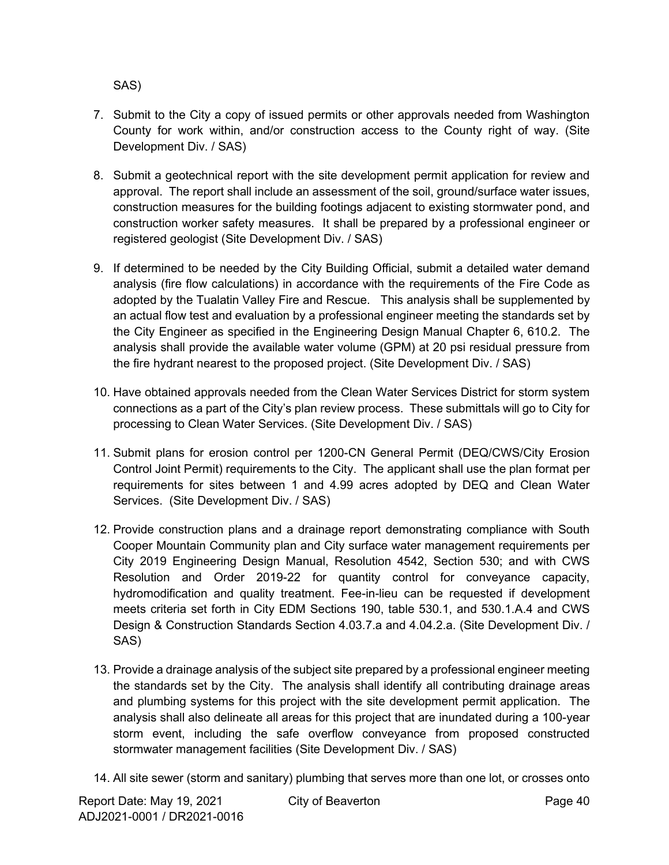SAS)

- 7. Submit to the City a copy of issued permits or other approvals needed from Washington County for work within, and/or construction access to the County right of way. (Site Development Div. / SAS)
- 8. Submit a geotechnical report with the site development permit application for review and approval. The report shall include an assessment of the soil, ground/surface water issues, construction measures for the building footings adjacent to existing stormwater pond, and construction worker safety measures. It shall be prepared by a professional engineer or registered geologist (Site Development Div. / SAS)
- 9. If determined to be needed by the City Building Official, submit a detailed water demand analysis (fire flow calculations) in accordance with the requirements of the Fire Code as adopted by the Tualatin Valley Fire and Rescue. This analysis shall be supplemented by an actual flow test and evaluation by a professional engineer meeting the standards set by the City Engineer as specified in the Engineering Design Manual Chapter 6, 610.2. The analysis shall provide the available water volume (GPM) at 20 psi residual pressure from the fire hydrant nearest to the proposed project. (Site Development Div. / SAS)
- 10. Have obtained approvals needed from the Clean Water Services District for storm system connections as a part of the City's plan review process. These submittals will go to City for processing to Clean Water Services. (Site Development Div. / SAS)
- 11. Submit plans for erosion control per 1200-CN General Permit (DEQ/CWS/City Erosion Control Joint Permit) requirements to the City. The applicant shall use the plan format per requirements for sites between 1 and 4.99 acres adopted by DEQ and Clean Water Services. (Site Development Div. / SAS)
- 12. Provide construction plans and a drainage report demonstrating compliance with South Cooper Mountain Community plan and City surface water management requirements per City 2019 Engineering Design Manual, Resolution 4542, Section 530; and with CWS Resolution and Order 2019-22 for quantity control for conveyance capacity, hydromodification and quality treatment. Fee-in-lieu can be requested if development meets criteria set forth in City EDM Sections 190, table 530.1, and 530.1.A.4 and CWS Design & Construction Standards Section 4.03.7.a and 4.04.2.a. (Site Development Div. / SAS)
- 13. Provide a drainage analysis of the subject site prepared by a professional engineer meeting the standards set by the City. The analysis shall identify all contributing drainage areas and plumbing systems for this project with the site development permit application. The analysis shall also delineate all areas for this project that are inundated during a 100-year storm event, including the safe overflow conveyance from proposed constructed stormwater management facilities (Site Development Div. / SAS)
- 14. All site sewer (storm and sanitary) plumbing that serves more than one lot, or crosses onto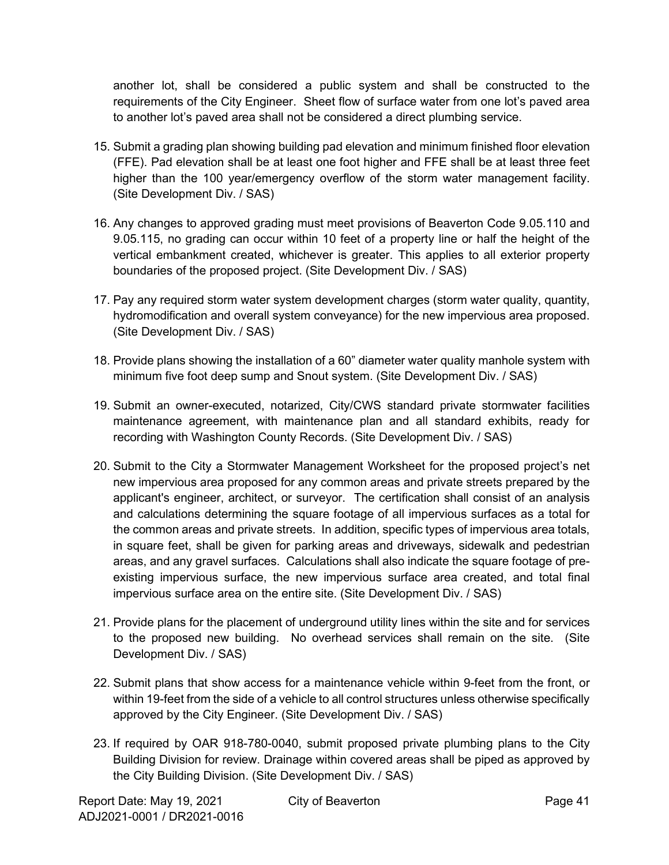another lot, shall be considered a public system and shall be constructed to the requirements of the City Engineer. Sheet flow of surface water from one lot's paved area to another lot's paved area shall not be considered a direct plumbing service.

- 15. Submit a grading plan showing building pad elevation and minimum finished floor elevation (FFE). Pad elevation shall be at least one foot higher and FFE shall be at least three feet higher than the 100 year/emergency overflow of the storm water management facility. (Site Development Div. / SAS)
- 16. Any changes to approved grading must meet provisions of Beaverton Code 9.05.110 and 9.05.115, no grading can occur within 10 feet of a property line or half the height of the vertical embankment created, whichever is greater. This applies to all exterior property boundaries of the proposed project. (Site Development Div. / SAS)
- 17. Pay any required storm water system development charges (storm water quality, quantity, hydromodification and overall system conveyance) for the new impervious area proposed. (Site Development Div. / SAS)
- 18. Provide plans showing the installation of a 60" diameter water quality manhole system with minimum five foot deep sump and Snout system. (Site Development Div. / SAS)
- 19. Submit an owner-executed, notarized, City/CWS standard private stormwater facilities maintenance agreement, with maintenance plan and all standard exhibits, ready for recording with Washington County Records. (Site Development Div. / SAS)
- 20. Submit to the City a Stormwater Management Worksheet for the proposed project's net new impervious area proposed for any common areas and private streets prepared by the applicant's engineer, architect, or surveyor. The certification shall consist of an analysis and calculations determining the square footage of all impervious surfaces as a total for the common areas and private streets. In addition, specific types of impervious area totals, in square feet, shall be given for parking areas and driveways, sidewalk and pedestrian areas, and any gravel surfaces. Calculations shall also indicate the square footage of preexisting impervious surface, the new impervious surface area created, and total final impervious surface area on the entire site. (Site Development Div. / SAS)
- 21. Provide plans for the placement of underground utility lines within the site and for services to the proposed new building. No overhead services shall remain on the site. (Site Development Div. / SAS)
- 22. Submit plans that show access for a maintenance vehicle within 9-feet from the front, or within 19-feet from the side of a vehicle to all control structures unless otherwise specifically approved by the City Engineer. (Site Development Div. / SAS)
- 23. If required by OAR 918-780-0040, submit proposed private plumbing plans to the City Building Division for review. Drainage within covered areas shall be piped as approved by the City Building Division. (Site Development Div. / SAS)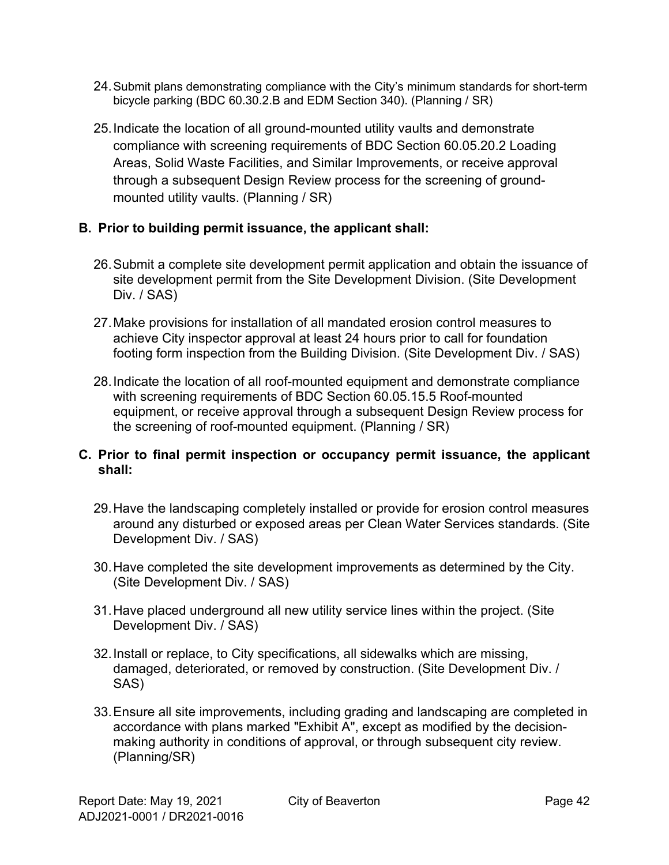- 24.Submit plans demonstrating compliance with the City's minimum standards for short-term bicycle parking (BDC 60.30.2.B and EDM Section 340). (Planning / SR)
- 25.Indicate the location of all ground-mounted utility vaults and demonstrate compliance with screening requirements of BDC Section 60.05.20.2 Loading Areas, Solid Waste Facilities, and Similar Improvements, or receive approval through a subsequent Design Review process for the screening of groundmounted utility vaults. (Planning / SR)

### **B. Prior to building permit issuance, the applicant shall:**

- 26.Submit a complete site development permit application and obtain the issuance of site development permit from the Site Development Division. (Site Development Div. / SAS)
- 27.Make provisions for installation of all mandated erosion control measures to achieve City inspector approval at least 24 hours prior to call for foundation footing form inspection from the Building Division. (Site Development Div. / SAS)
- 28.Indicate the location of all roof-mounted equipment and demonstrate compliance with screening requirements of BDC Section 60.05.15.5 Roof-mounted equipment, or receive approval through a subsequent Design Review process for the screening of roof-mounted equipment. (Planning / SR)

### **C. Prior to final permit inspection or occupancy permit issuance, the applicant shall:**

- 29.Have the landscaping completely installed or provide for erosion control measures around any disturbed or exposed areas per Clean Water Services standards. (Site Development Div. / SAS)
- 30.Have completed the site development improvements as determined by the City. (Site Development Div. / SAS)
- 31.Have placed underground all new utility service lines within the project. (Site Development Div. / SAS)
- 32.Install or replace, to City specifications, all sidewalks which are missing, damaged, deteriorated, or removed by construction. (Site Development Div. / SAS)
- 33.Ensure all site improvements, including grading and landscaping are completed in accordance with plans marked "Exhibit A", except as modified by the decisionmaking authority in conditions of approval, or through subsequent city review. (Planning/SR)